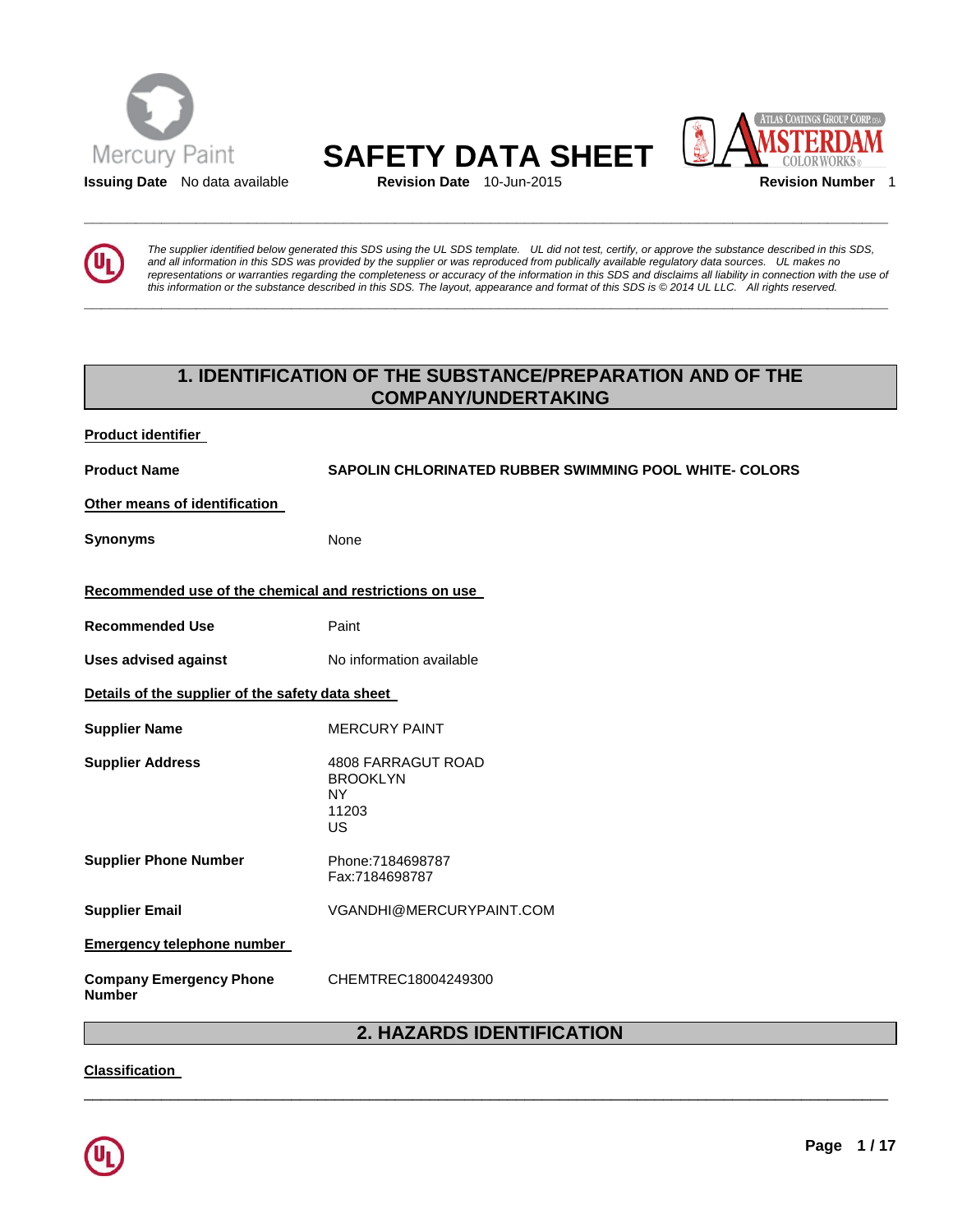



**\_\_\_\_\_\_\_\_\_\_\_\_\_\_\_\_\_\_\_\_\_\_\_\_\_\_\_\_\_\_\_\_\_\_\_\_\_\_\_\_\_\_\_\_\_\_\_\_\_\_\_\_\_\_\_\_\_\_\_\_\_\_\_\_\_\_\_\_\_\_\_\_\_\_\_\_\_\_\_\_\_\_\_\_\_\_\_\_\_\_\_\_\_** 



*The supplier identified below generated this SDS using the UL SDS template. UL did not test, certify, or approve the substance described in this SDS, and all information in this SDS was provided by the supplier or was reproduced from publically available regulatory data sources. UL makes no representations or warranties regarding the completeness or accuracy of the information in this SDS and disclaims all liability in connection with the use of this information or the substance described in this SDS. The layout, appearance and format of this SDS is © 2014 UL LLC. All rights reserved.* 

# **1. IDENTIFICATION OF THE SUBSTANCE/PREPARATION AND OF THE COMPANY/UNDERTAKING**

| Product identifier                                      |                                                                    |
|---------------------------------------------------------|--------------------------------------------------------------------|
| <b>Product Name</b>                                     | <b>SAPOLIN CHLORINATED RUBBER SWIMMING POOL WHITE- COLORS</b>      |
| Other means of identification                           |                                                                    |
| <b>Synonyms</b>                                         | None                                                               |
| Recommended use of the chemical and restrictions on use |                                                                    |
| <b>Recommended Use</b>                                  | Paint                                                              |
| <b>Uses advised against</b>                             | No information available                                           |
| Details of the supplier of the safety data sheet        |                                                                    |
| <b>Supplier Name</b>                                    | <b>MERCURY PAINT</b>                                               |
| <b>Supplier Address</b>                                 | 4808 FARRAGUT ROAD<br><b>BROOKLYN</b><br>NY.<br>11203<br><b>US</b> |
| <b>Supplier Phone Number</b>                            | Phone: 7184698787<br>Fax:7184698787                                |
| <b>Supplier Email</b>                                   | VGANDHI@MERCURYPAINT.COM                                           |
| <b>Emergency telephone number</b>                       |                                                                    |
| <b>Company Emergency Phone</b><br><b>Number</b>         | CHEMTREC18004249300                                                |

# **2. HAZARDS IDENTIFICATION**

\_\_\_\_\_\_\_\_\_\_\_\_\_\_\_\_\_\_\_\_\_\_\_\_\_\_\_\_\_\_\_\_\_\_\_\_\_\_\_\_\_\_\_\_\_\_\_\_\_\_\_\_\_\_\_\_\_\_\_\_\_\_\_\_\_\_\_\_\_\_\_\_\_\_\_\_\_\_\_\_\_\_\_\_\_\_\_\_\_\_\_\_\_

**Classification** 

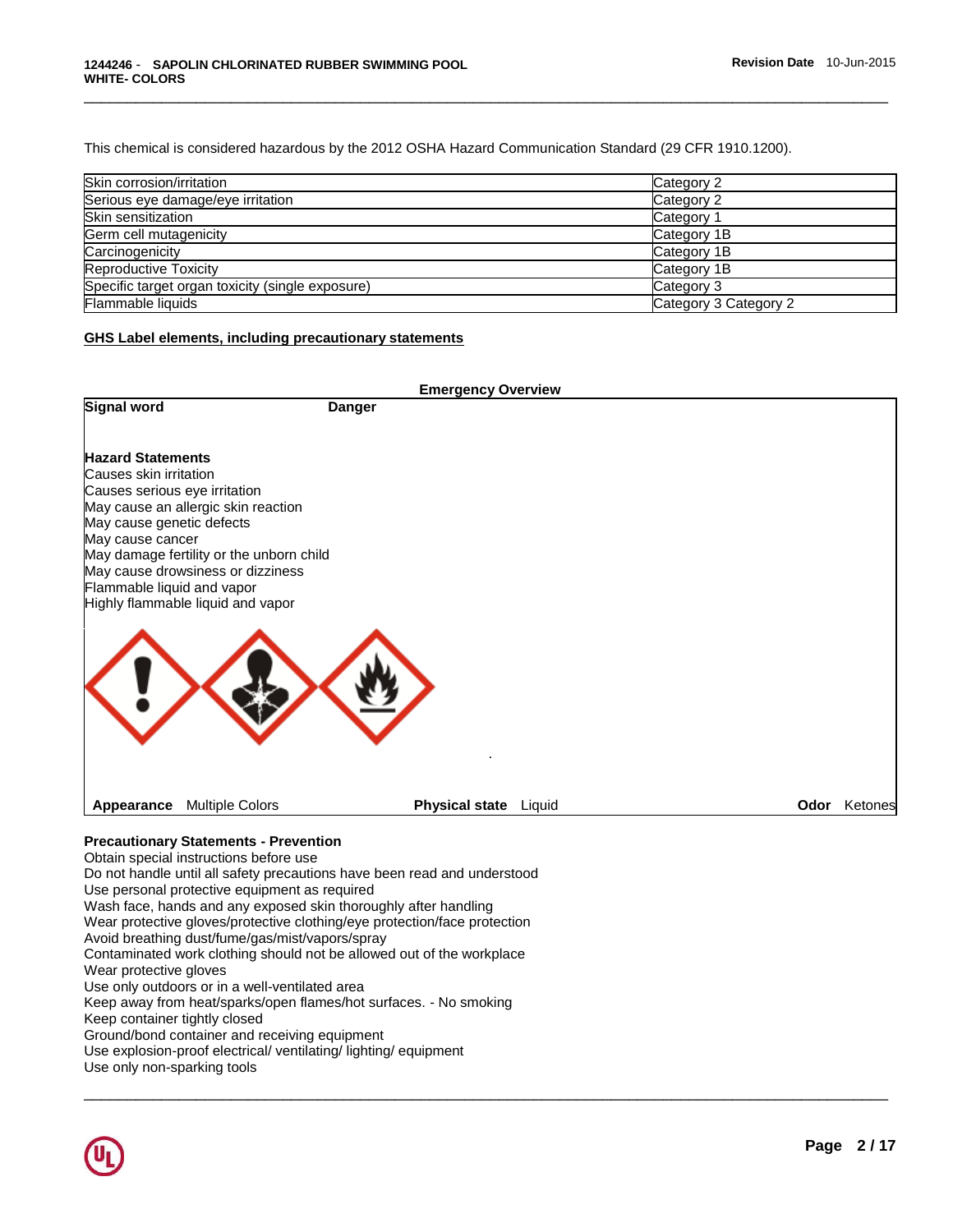This chemical is considered hazardous by the 2012 OSHA Hazard Communication Standard (29 CFR 1910.1200).

| Skin corrosion/irritation                        | Category 2            |
|--------------------------------------------------|-----------------------|
| Serious eye damage/eye irritation                | Category 2            |
| Skin sensitization                               | Category 1            |
| Germ cell mutagenicity                           | Category 1B           |
| Carcinogenicity                                  | Category 1B           |
| Reproductive Toxicity                            | Category 1B           |
| Specific target organ toxicity (single exposure) | Category 3            |
| Flammable liquids                                | Category 3 Category 2 |

\_\_\_\_\_\_\_\_\_\_\_\_\_\_\_\_\_\_\_\_\_\_\_\_\_\_\_\_\_\_\_\_\_\_\_\_\_\_\_\_\_\_\_\_\_\_\_\_\_\_\_\_\_\_\_\_\_\_\_\_\_\_\_\_\_\_\_\_\_\_\_\_\_\_\_\_\_\_\_\_\_\_\_\_\_\_\_\_\_\_\_\_\_

## **GHS Label elements, including precautionary statements**

|                                                                                                                                                                    |                                                                                                                                                                                                                                                                                                                                                                                                                                                                                                           | <b>Emergency Overview</b>                                                                                                                                                                                                      |  |                     |
|--------------------------------------------------------------------------------------------------------------------------------------------------------------------|-----------------------------------------------------------------------------------------------------------------------------------------------------------------------------------------------------------------------------------------------------------------------------------------------------------------------------------------------------------------------------------------------------------------------------------------------------------------------------------------------------------|--------------------------------------------------------------------------------------------------------------------------------------------------------------------------------------------------------------------------------|--|---------------------|
| <b>Signal word</b>                                                                                                                                                 |                                                                                                                                                                                                                                                                                                                                                                                                                                                                                                           | <b>Danger</b>                                                                                                                                                                                                                  |  |                     |
| <b>Hazard Statements</b><br>Causes skin irritation<br>Causes serious eye irritation<br>May cause genetic defects<br>May cause cancer<br>Flammable liquid and vapor | May cause an allergic skin reaction<br>May damage fertility or the unborn child<br>May cause drowsiness or dizziness<br>Highly flammable liquid and vapor                                                                                                                                                                                                                                                                                                                                                 |                                                                                                                                                                                                                                |  |                     |
| Appearance                                                                                                                                                         | <b>Multiple Colors</b>                                                                                                                                                                                                                                                                                                                                                                                                                                                                                    | Physical state Liquid                                                                                                                                                                                                          |  | <b>Odor</b> Ketones |
| Wear protective gloves<br>Keep container tightly closed<br>Use only non-sparking tools                                                                             | <b>Precautionary Statements - Prevention</b><br>Obtain special instructions before use<br>Use personal protective equipment as required<br>Wash face, hands and any exposed skin thoroughly after handling<br>Avoid breathing dust/fume/gas/mist/vapors/spray<br>Use only outdoors or in a well-ventilated area<br>Keep away from heat/sparks/open flames/hot surfaces. - No smoking<br>Ground/bond container and receiving equipment<br>Use explosion-proof electrical/ ventilating/ lighting/ equipment | Do not handle until all safety precautions have been read and understood<br>Wear protective gloves/protective clothing/eye protection/face protection<br>Contaminated work clothing should not be allowed out of the workplace |  |                     |

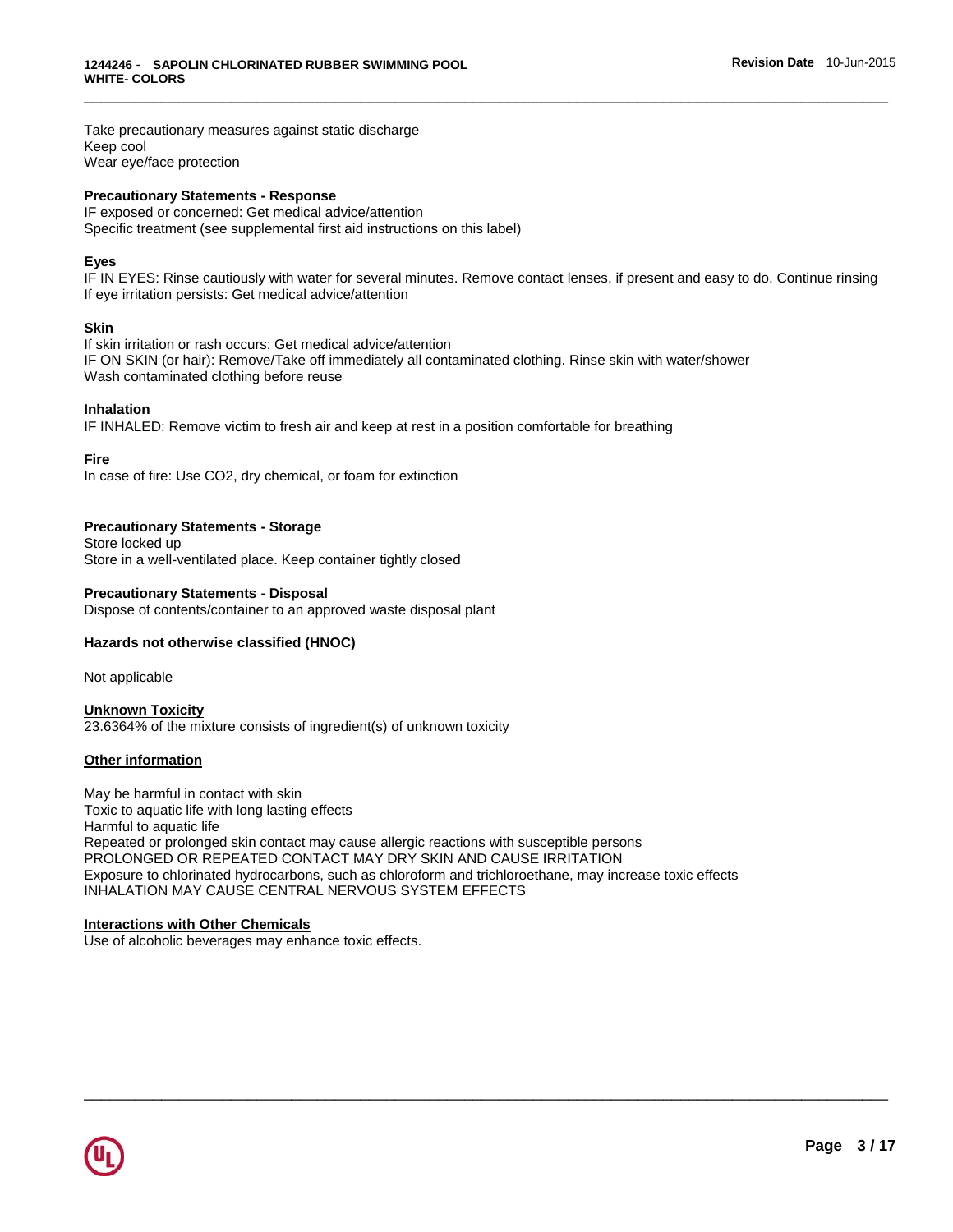Take precautionary measures against static discharge Keep cool Wear eye/face protection

## **Precautionary Statements - Response**

IF exposed or concerned: Get medical advice/attention Specific treatment (see supplemental first aid instructions on this label)

## **Eyes**

IF IN EYES: Rinse cautiously with water for several minutes. Remove contact lenses, if present and easy to do. Continue rinsing If eye irritation persists: Get medical advice/attention

\_\_\_\_\_\_\_\_\_\_\_\_\_\_\_\_\_\_\_\_\_\_\_\_\_\_\_\_\_\_\_\_\_\_\_\_\_\_\_\_\_\_\_\_\_\_\_\_\_\_\_\_\_\_\_\_\_\_\_\_\_\_\_\_\_\_\_\_\_\_\_\_\_\_\_\_\_\_\_\_\_\_\_\_\_\_\_\_\_\_\_\_\_

#### **Skin**

If skin irritation or rash occurs: Get medical advice/attention IF ON SKIN (or hair): Remove/Take off immediately all contaminated clothing. Rinse skin with water/shower Wash contaminated clothing before reuse

#### **Inhalation**

IF INHALED: Remove victim to fresh air and keep at rest in a position comfortable for breathing

**Fire**

In case of fire: Use CO2, dry chemical, or foam for extinction

## **Precautionary Statements - Storage**

Store locked up Store in a well-ventilated place. Keep container tightly closed

## **Precautionary Statements - Disposal**

Dispose of contents/container to an approved waste disposal plant

## **Hazards not otherwise classified (HNOC)**

Not applicable

## **Unknown Toxicity** 23.6364% of the mixture consists of ingredient(s) of unknown toxicity

#### **Other information**

May be harmful in contact with skin Toxic to aquatic life with long lasting effects Harmful to aquatic life Repeated or prolonged skin contact may cause allergic reactions with susceptible persons PROLONGED OR REPEATED CONTACT MAY DRY SKIN AND CAUSE IRRITATION Exposure to chlorinated hydrocarbons, such as chloroform and trichloroethane, may increase toxic effects INHALATION MAY CAUSE CENTRAL NERVOUS SYSTEM EFFECTS

\_\_\_\_\_\_\_\_\_\_\_\_\_\_\_\_\_\_\_\_\_\_\_\_\_\_\_\_\_\_\_\_\_\_\_\_\_\_\_\_\_\_\_\_\_\_\_\_\_\_\_\_\_\_\_\_\_\_\_\_\_\_\_\_\_\_\_\_\_\_\_\_\_\_\_\_\_\_\_\_\_\_\_\_\_\_\_\_\_\_\_\_\_

## **Interactions with Other Chemicals**

Use of alcoholic beverages may enhance toxic effects.

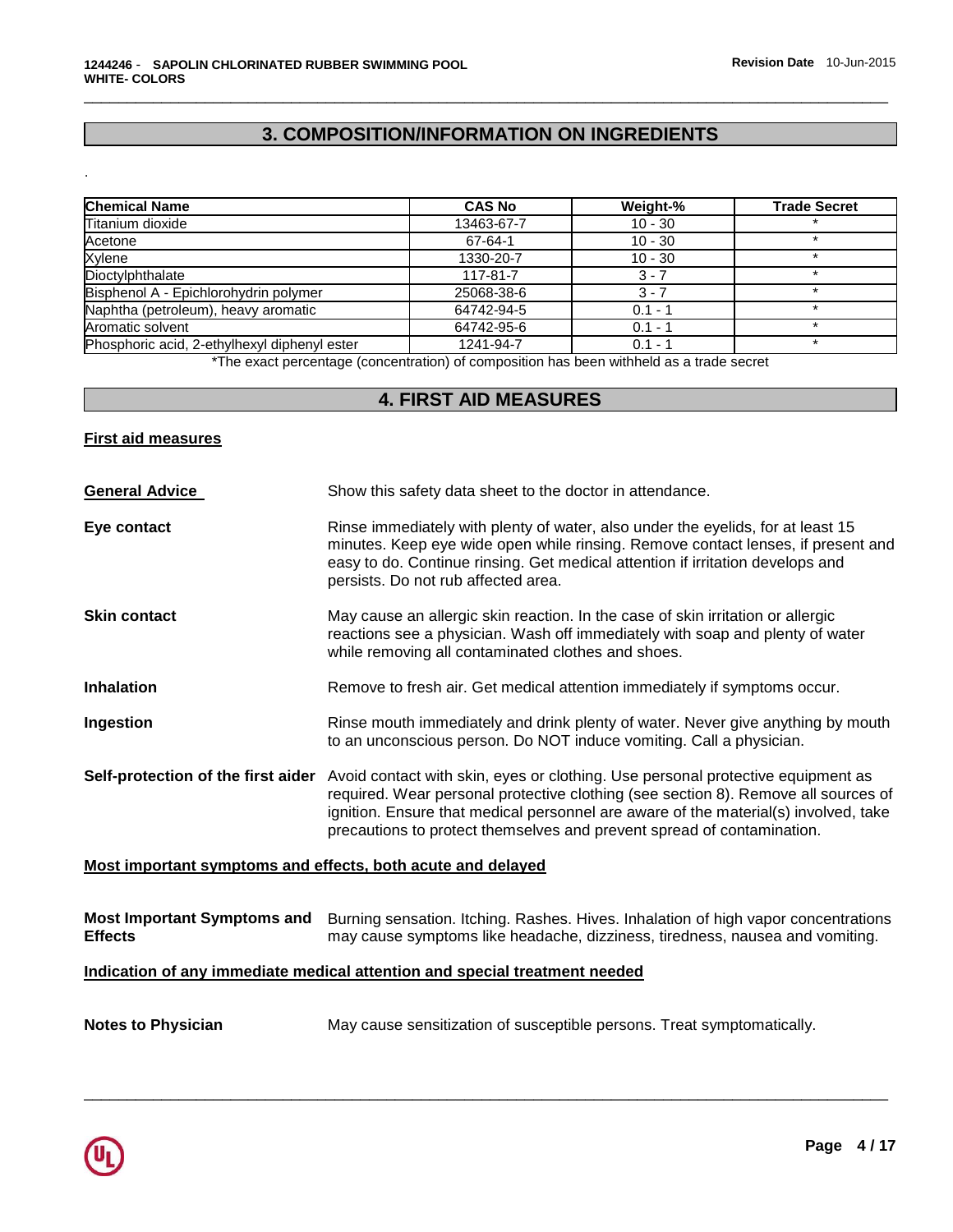# **3. COMPOSITION/INFORMATION ON INGREDIENTS**

\_\_\_\_\_\_\_\_\_\_\_\_\_\_\_\_\_\_\_\_\_\_\_\_\_\_\_\_\_\_\_\_\_\_\_\_\_\_\_\_\_\_\_\_\_\_\_\_\_\_\_\_\_\_\_\_\_\_\_\_\_\_\_\_\_\_\_\_\_\_\_\_\_\_\_\_\_\_\_\_\_\_\_\_\_\_\_\_\_\_\_\_\_

| <b>Chemical Name</b>                         | <b>CAS No</b> | Weight-%  | <b>Trade Secret</b> |
|----------------------------------------------|---------------|-----------|---------------------|
| Titanium dioxide                             | 13463-67-7    | $10 - 30$ |                     |
| Acetone                                      | 67-64-1       | $10 - 30$ |                     |
| Xylene                                       | 1330-20-7     | $10 - 30$ |                     |
| Dioctylphthalate                             | 117-81-7      | $3 - 7$   |                     |
| Bisphenol A - Epichlorohydrin polymer        | 25068-38-6    | $3 - 7$   |                     |
| Naphtha (petroleum), heavy aromatic          | 64742-94-5    | $0.1 - 1$ |                     |
| Aromatic solvent                             | 64742-95-6    | $0.1 - 1$ |                     |
| Phosphoric acid, 2-ethylhexyl diphenyl ester | 1241-94-7     | $0.1 - 1$ |                     |

\*The exact percentage (concentration) of composition has been withheld as a trade secret

# **4. FIRST AID MEASURES**

## **First aid measures**

.

| Show this safety data sheet to the doctor in attendance.                                                                                                                                                                                                                                                                                                                  |
|---------------------------------------------------------------------------------------------------------------------------------------------------------------------------------------------------------------------------------------------------------------------------------------------------------------------------------------------------------------------------|
| Rinse immediately with plenty of water, also under the eyelids, for at least 15<br>minutes. Keep eye wide open while rinsing. Remove contact lenses, if present and<br>easy to do. Continue rinsing. Get medical attention if irritation develops and<br>persists. Do not rub affected area.                                                                              |
| May cause an allergic skin reaction. In the case of skin irritation or allergic<br>reactions see a physician. Wash off immediately with soap and plenty of water<br>while removing all contaminated clothes and shoes.                                                                                                                                                    |
| Remove to fresh air. Get medical attention immediately if symptoms occur.                                                                                                                                                                                                                                                                                                 |
| Rinse mouth immediately and drink plenty of water. Never give anything by mouth<br>to an unconscious person. Do NOT induce vomiting. Call a physician.                                                                                                                                                                                                                    |
| Self-protection of the first aider Avoid contact with skin, eyes or clothing. Use personal protective equipment as<br>required. Wear personal protective clothing (see section 8). Remove all sources of<br>ignition. Ensure that medical personnel are aware of the material(s) involved, take<br>precautions to protect themselves and prevent spread of contamination. |
|                                                                                                                                                                                                                                                                                                                                                                           |

## **Most important symptoms and effects, both acute and delayed**

|                | Most Important Symptoms and Burning sensation. Itching. Rashes. Hives. Inhalation of high vapor concentrations |
|----------------|----------------------------------------------------------------------------------------------------------------|
| <b>Effects</b> | may cause symptoms like headache, dizziness, tiredness, nausea and vomiting.                                   |

\_\_\_\_\_\_\_\_\_\_\_\_\_\_\_\_\_\_\_\_\_\_\_\_\_\_\_\_\_\_\_\_\_\_\_\_\_\_\_\_\_\_\_\_\_\_\_\_\_\_\_\_\_\_\_\_\_\_\_\_\_\_\_\_\_\_\_\_\_\_\_\_\_\_\_\_\_\_\_\_\_\_\_\_\_\_\_\_\_\_\_\_\_

## **Indication of any immediate medical attention and special treatment needed**

| <b>Notes to Physician</b> |  | May cause sensitization of susceptible persons. Treat symptomatically. |  |
|---------------------------|--|------------------------------------------------------------------------|--|
|---------------------------|--|------------------------------------------------------------------------|--|

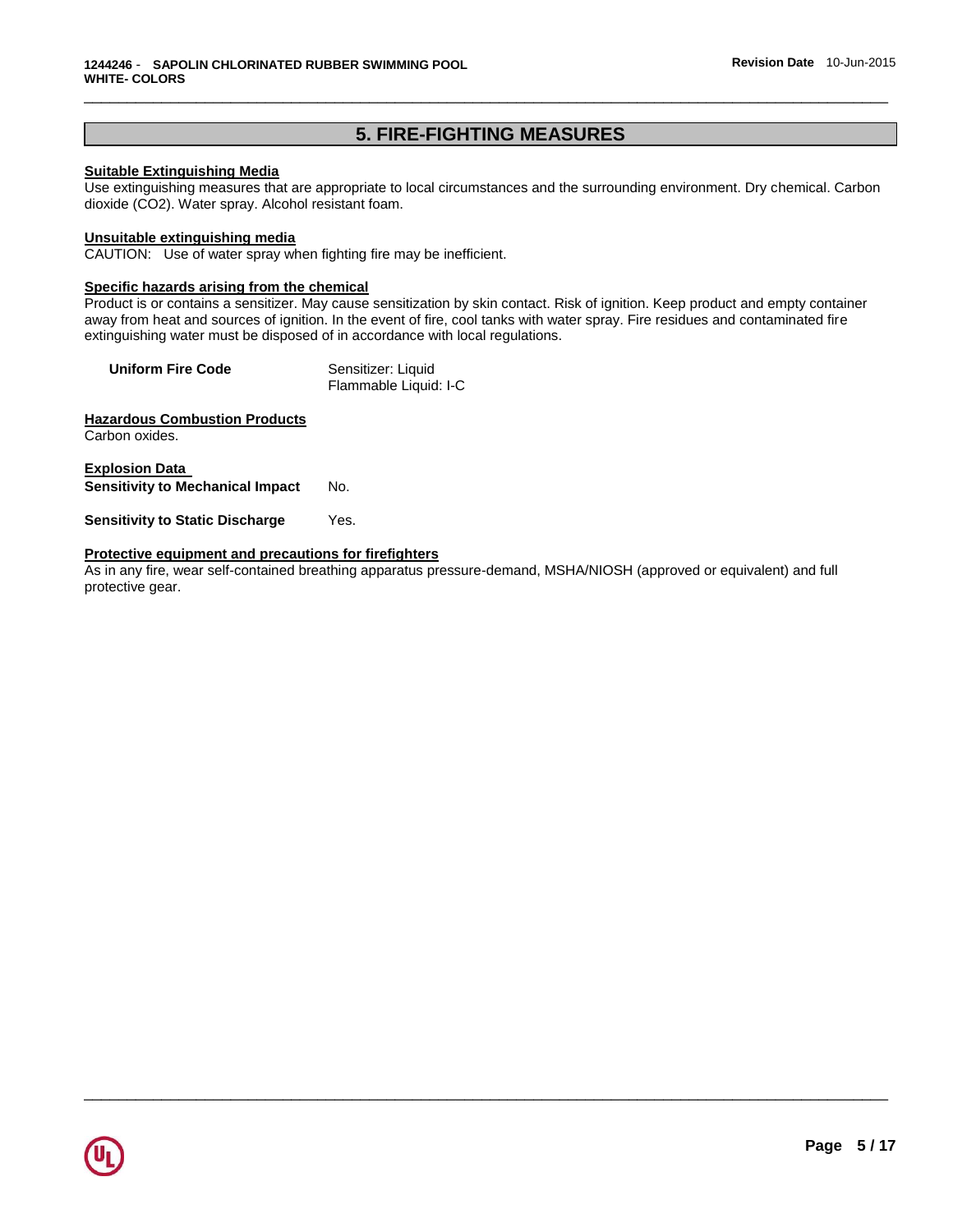# **5. FIRE-FIGHTING MEASURES**

\_\_\_\_\_\_\_\_\_\_\_\_\_\_\_\_\_\_\_\_\_\_\_\_\_\_\_\_\_\_\_\_\_\_\_\_\_\_\_\_\_\_\_\_\_\_\_\_\_\_\_\_\_\_\_\_\_\_\_\_\_\_\_\_\_\_\_\_\_\_\_\_\_\_\_\_\_\_\_\_\_\_\_\_\_\_\_\_\_\_\_\_\_

## **Suitable Extinguishing Media**

Use extinguishing measures that are appropriate to local circumstances and the surrounding environment. Dry chemical. Carbon dioxide (CO2). Water spray. Alcohol resistant foam.

#### **Unsuitable extinguishing media**

CAUTION: Use of water spray when fighting fire may be inefficient.

## **Specific hazards arising from the chemical**

Product is or contains a sensitizer. May cause sensitization by skin contact. Risk of ignition. Keep product and empty container away from heat and sources of ignition. In the event of fire, cool tanks with water spray. Fire residues and contaminated fire extinguishing water must be disposed of in accordance with local regulations.

| <b>Uniform Fire Code</b> | Sensitizer: Liquid    |
|--------------------------|-----------------------|
|                          | Flammable Liquid: I-C |

**Hazardous Combustion Products** Carbon oxides.

**Explosion Data Sensitivity to Mechanical Impact** No.

**Sensitivity to Static Discharge Yes.** 

#### **Protective equipment and precautions for firefighters**

As in any fire, wear self-contained breathing apparatus pressure-demand, MSHA/NIOSH (approved or equivalent) and full protective gear.

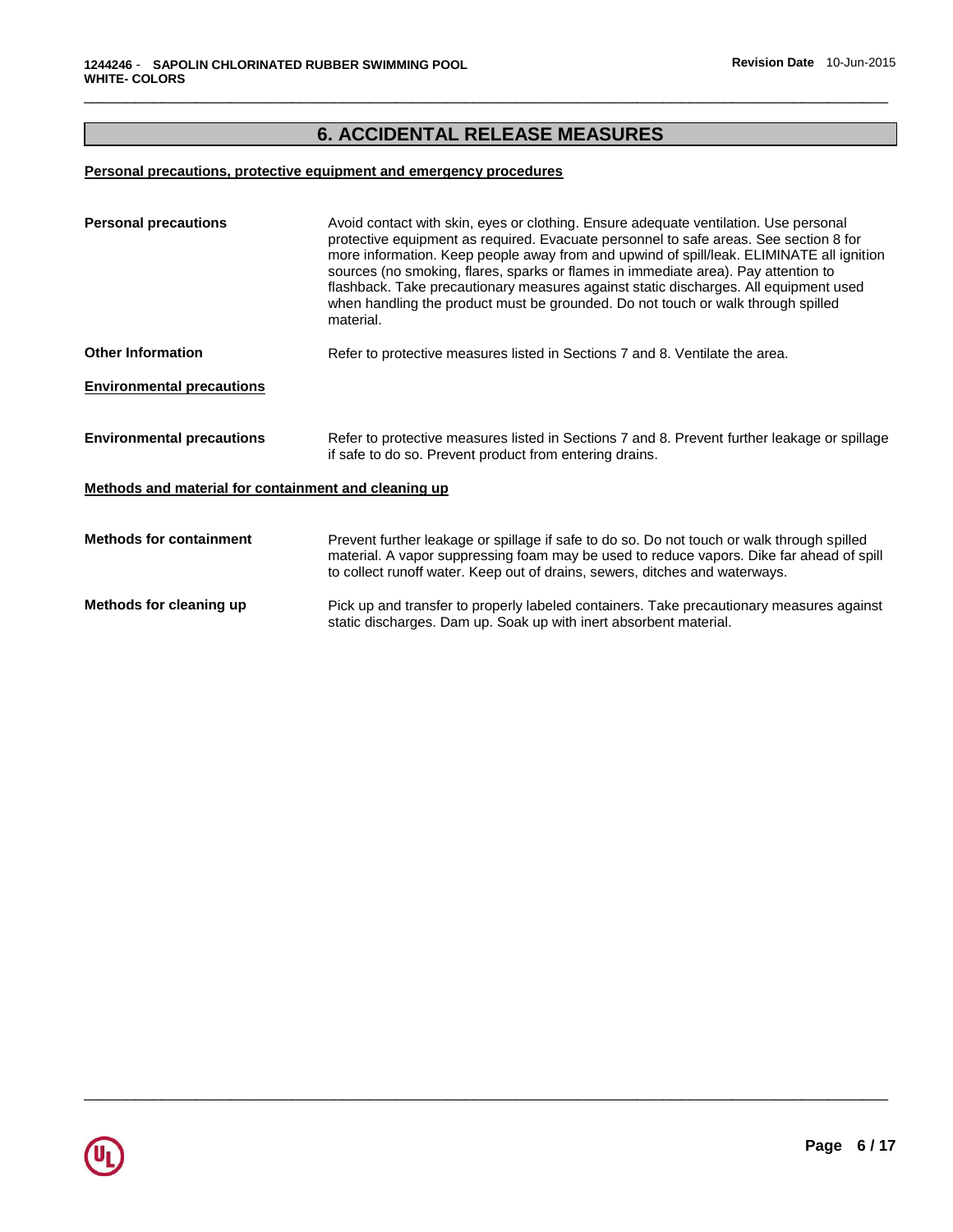# **6. ACCIDENTAL RELEASE MEASURES**

\_\_\_\_\_\_\_\_\_\_\_\_\_\_\_\_\_\_\_\_\_\_\_\_\_\_\_\_\_\_\_\_\_\_\_\_\_\_\_\_\_\_\_\_\_\_\_\_\_\_\_\_\_\_\_\_\_\_\_\_\_\_\_\_\_\_\_\_\_\_\_\_\_\_\_\_\_\_\_\_\_\_\_\_\_\_\_\_\_\_\_\_\_

## **Personal precautions, protective equipment and emergency procedures**

| <b>Personal precautions</b>                          | Avoid contact with skin, eyes or clothing. Ensure adequate ventilation. Use personal<br>protective equipment as required. Evacuate personnel to safe areas. See section 8 for<br>more information. Keep people away from and upwind of spill/leak. ELIMINATE all ignition<br>sources (no smoking, flares, sparks or flames in immediate area). Pay attention to<br>flashback. Take precautionary measures against static discharges. All equipment used<br>when handling the product must be grounded. Do not touch or walk through spilled<br>material. |
|------------------------------------------------------|----------------------------------------------------------------------------------------------------------------------------------------------------------------------------------------------------------------------------------------------------------------------------------------------------------------------------------------------------------------------------------------------------------------------------------------------------------------------------------------------------------------------------------------------------------|
| <b>Other Information</b>                             | Refer to protective measures listed in Sections 7 and 8. Ventilate the area.                                                                                                                                                                                                                                                                                                                                                                                                                                                                             |
| <b>Environmental precautions</b>                     |                                                                                                                                                                                                                                                                                                                                                                                                                                                                                                                                                          |
| <b>Environmental precautions</b>                     | Refer to protective measures listed in Sections 7 and 8. Prevent further leakage or spillage<br>if safe to do so. Prevent product from entering drains.                                                                                                                                                                                                                                                                                                                                                                                                  |
| Methods and material for containment and cleaning up |                                                                                                                                                                                                                                                                                                                                                                                                                                                                                                                                                          |
| <b>Methods for containment</b>                       | Prevent further leakage or spillage if safe to do so. Do not touch or walk through spilled<br>material. A vapor suppressing foam may be used to reduce vapors. Dike far ahead of spill<br>to collect runoff water. Keep out of drains, sewers, ditches and waterways.                                                                                                                                                                                                                                                                                    |
| Methods for cleaning up                              | Pick up and transfer to properly labeled containers. Take precautionary measures against<br>static discharges. Dam up. Soak up with inert absorbent material.                                                                                                                                                                                                                                                                                                                                                                                            |

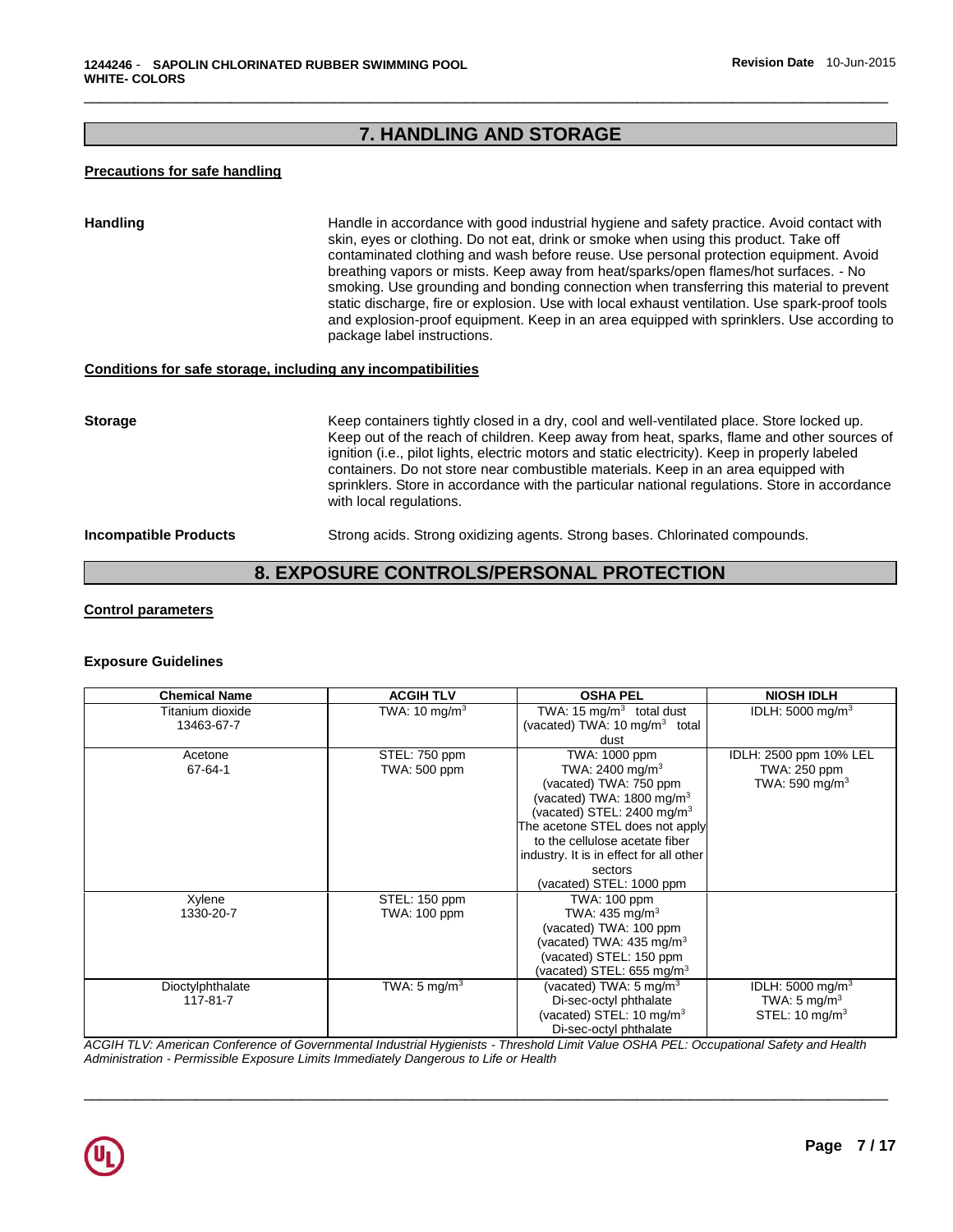# **7. HANDLING AND STORAGE**

\_\_\_\_\_\_\_\_\_\_\_\_\_\_\_\_\_\_\_\_\_\_\_\_\_\_\_\_\_\_\_\_\_\_\_\_\_\_\_\_\_\_\_\_\_\_\_\_\_\_\_\_\_\_\_\_\_\_\_\_\_\_\_\_\_\_\_\_\_\_\_\_\_\_\_\_\_\_\_\_\_\_\_\_\_\_\_\_\_\_\_\_\_

## **Precautions for safe handling**

| <b>Handling</b>                                              | Handle in accordance with good industrial hygiene and safety practice. Avoid contact with<br>skin, eyes or clothing. Do not eat, drink or smoke when using this product. Take off<br>contaminated clothing and wash before reuse. Use personal protection equipment. Avoid<br>breathing vapors or mists. Keep away from heat/sparks/open flames/hot surfaces. - No<br>smoking. Use grounding and bonding connection when transferring this material to prevent<br>static discharge, fire or explosion. Use with local exhaust ventilation. Use spark-proof tools<br>and explosion-proof equipment. Keep in an area equipped with sprinklers. Use according to<br>package label instructions. |
|--------------------------------------------------------------|----------------------------------------------------------------------------------------------------------------------------------------------------------------------------------------------------------------------------------------------------------------------------------------------------------------------------------------------------------------------------------------------------------------------------------------------------------------------------------------------------------------------------------------------------------------------------------------------------------------------------------------------------------------------------------------------|
| Conditions for safe storage, including any incompatibilities |                                                                                                                                                                                                                                                                                                                                                                                                                                                                                                                                                                                                                                                                                              |
| <b>Storage</b>                                               | Keep containers tightly closed in a dry, cool and well-ventilated place. Store locked up.<br>Keep out of the reach of children. Keep away from heat, sparks, flame and other sources of<br>ignition (i.e., pilot lights, electric motors and static electricity). Keep in properly labeled<br>containers. Do not store near combustible materials. Keep in an area equipped with<br>sprinklers. Store in accordance with the particular national regulations. Store in accordance<br>with local regulations.                                                                                                                                                                                 |
| <b>Incompatible Products</b>                                 | Strong acids. Strong oxidizing agents. Strong bases. Chlorinated compounds.<br>. <b>.</b> .                                                                                                                                                                                                                                                                                                                                                                                                                                                                                                                                                                                                  |

## **8. EXPOSURE CONTROLS/PERSONAL PROTECTION**

## **Control parameters**

## **Exposure Guidelines**

| <b>Chemical Name</b> | <b>ACGIH TLV</b>        | <b>OSHA PEL</b>                          | <b>NIOSH IDLH</b>            |
|----------------------|-------------------------|------------------------------------------|------------------------------|
| Titanium dioxide     | TWA: 10 mg/m $3$        | TWA: 15 mg/m <sup>3</sup> total dust     | IDLH: 5000 mg/m <sup>3</sup> |
| 13463-67-7           |                         | (vacated) TWA: $10 \text{ mg/m}^3$ total |                              |
|                      |                         | dust                                     |                              |
| Acetone              | STEL: 750 ppm           | TWA: 1000 ppm                            | IDLH: 2500 ppm 10% LEL       |
| $67 - 64 - 1$        | TWA: 500 ppm            | TWA: 2400 mg/m <sup>3</sup>              | TWA: 250 ppm                 |
|                      |                         | (vacated) TWA: 750 ppm                   | TWA: 590 mg/m <sup>3</sup>   |
|                      |                         | (vacated) TWA: 1800 mg/m $3$             |                              |
|                      |                         | (vacated) STEL: 2400 mg/m $3$            |                              |
|                      |                         | The acetone STEL does not apply          |                              |
|                      |                         | to the cellulose acetate fiber           |                              |
|                      |                         | industry. It is in effect for all other  |                              |
|                      |                         | sectors                                  |                              |
|                      |                         | (vacated) STEL: 1000 ppm                 |                              |
| Xylene               | STEL: 150 ppm           | TWA: 100 ppm                             |                              |
| 1330-20-7            | TWA: 100 ppm            | TWA: 435 mg/m <sup>3</sup>               |                              |
|                      |                         | (vacated) TWA: 100 ppm                   |                              |
|                      |                         | (vacated) TWA: $435 \text{ mg/m}^3$      |                              |
|                      |                         | (vacated) STEL: 150 ppm                  |                              |
|                      |                         | (vacated) STEL: 655 mg/m $3$             |                              |
| Dioctylphthalate     | TWA: $5 \text{ mg/m}^3$ | (vacated) TWA: $5 \text{ mg/m}^3$        | IDLH: 5000 mg/m <sup>3</sup> |
| 117-81-7             |                         | Di-sec-octyl phthalate                   | TWA: 5 mg/m <sup>3</sup>     |
|                      |                         | (vacated) STEL: $10 \text{ mg/m}^3$      | STEL: $10 \text{ mg/m}^3$    |
|                      |                         | Di-sec-octyl phthalate                   |                              |

*ACGIH TLV: American Conference of Governmental Industrial Hygienists - Threshold Limit Value OSHA PEL: Occupational Safety and Health Administration - Permissible Exposure Limits Immediately Dangerous to Life or Health* 

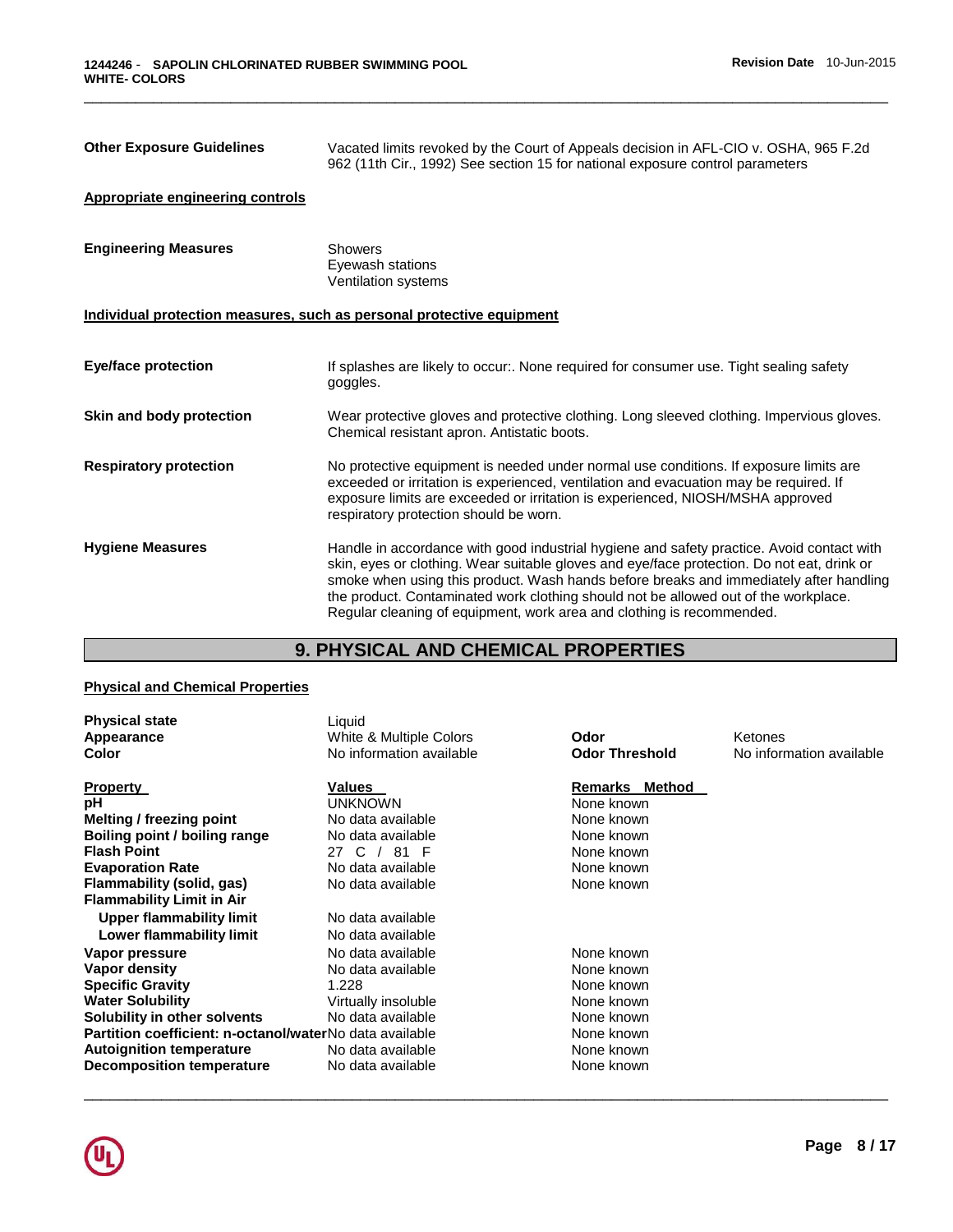| <b>Other Exposure Guidelines</b>                                      | Vacated limits revoked by the Court of Appeals decision in AFL-CIO v. OSHA, 965 F.2d<br>962 (11th Cir., 1992) See section 15 for national exposure control parameters                                                                                                                                                                                                                                                                             |
|-----------------------------------------------------------------------|---------------------------------------------------------------------------------------------------------------------------------------------------------------------------------------------------------------------------------------------------------------------------------------------------------------------------------------------------------------------------------------------------------------------------------------------------|
| Appropriate engineering controls                                      |                                                                                                                                                                                                                                                                                                                                                                                                                                                   |
| <b>Engineering Measures</b>                                           | Showers<br>Eyewash stations<br>Ventilation systems                                                                                                                                                                                                                                                                                                                                                                                                |
| Individual protection measures, such as personal protective equipment |                                                                                                                                                                                                                                                                                                                                                                                                                                                   |
| <b>Eye/face protection</b>                                            | If splashes are likely to occur:. None required for consumer use. Tight sealing safety<br>goggles.                                                                                                                                                                                                                                                                                                                                                |
| Skin and body protection                                              | Wear protective gloves and protective clothing. Long sleeved clothing. Impervious gloves.<br>Chemical resistant apron. Antistatic boots.                                                                                                                                                                                                                                                                                                          |
| <b>Respiratory protection</b>                                         | No protective equipment is needed under normal use conditions. If exposure limits are<br>exceeded or irritation is experienced, ventilation and evacuation may be required. If<br>exposure limits are exceeded or irritation is experienced, NIOSH/MSHA approved<br>respiratory protection should be worn.                                                                                                                                        |
| <b>Hygiene Measures</b>                                               | Handle in accordance with good industrial hygiene and safety practice. Avoid contact with<br>skin, eyes or clothing. Wear suitable gloves and eye/face protection. Do not eat, drink or<br>smoke when using this product. Wash hands before breaks and immediately after handling<br>the product. Contaminated work clothing should not be allowed out of the workplace.<br>Regular cleaning of equipment, work area and clothing is recommended. |

# **9. PHYSICAL AND CHEMICAL PROPERTIES**

## **Physical and Chemical Properties**

| <b>Physical state</b><br>Appearance<br>Color            | Liquid<br>White & Multiple Colors<br>No information available | Odor<br><b>Odor Threshold</b> | Ketones<br>No information available |
|---------------------------------------------------------|---------------------------------------------------------------|-------------------------------|-------------------------------------|
| <b>Property</b>                                         | Values                                                        | <b>Remarks Method</b>         |                                     |
| рH                                                      | <b>UNKNOWN</b>                                                | None known                    |                                     |
| Melting / freezing point                                | No data available                                             | None known                    |                                     |
| Boiling point / boiling range                           | No data available                                             | None known                    |                                     |
| <b>Flash Point</b>                                      | 81 F<br>C /<br>27                                             | None known                    |                                     |
| <b>Evaporation Rate</b>                                 | No data available                                             | None known                    |                                     |
| Flammability (solid, gas)                               | No data available                                             | None known                    |                                     |
| <b>Flammability Limit in Air</b>                        |                                                               |                               |                                     |
| Upper flammability limit                                | No data available                                             |                               |                                     |
| Lower flammability limit                                | No data available                                             |                               |                                     |
| Vapor pressure                                          | No data available                                             | None known                    |                                     |
| Vapor density                                           | No data available                                             | None known                    |                                     |
| <b>Specific Gravity</b>                                 | 1.228                                                         | None known                    |                                     |
| <b>Water Solubility</b>                                 | Virtually insoluble                                           | None known                    |                                     |
| Solubility in other solvents                            | No data available                                             | None known                    |                                     |
| Partition coefficient: n-octanol/waterNo data available |                                                               | None known                    |                                     |
| <b>Autoignition temperature</b>                         | No data available                                             | None known                    |                                     |
| Decomposition temperature                               | No data available                                             | None known                    |                                     |

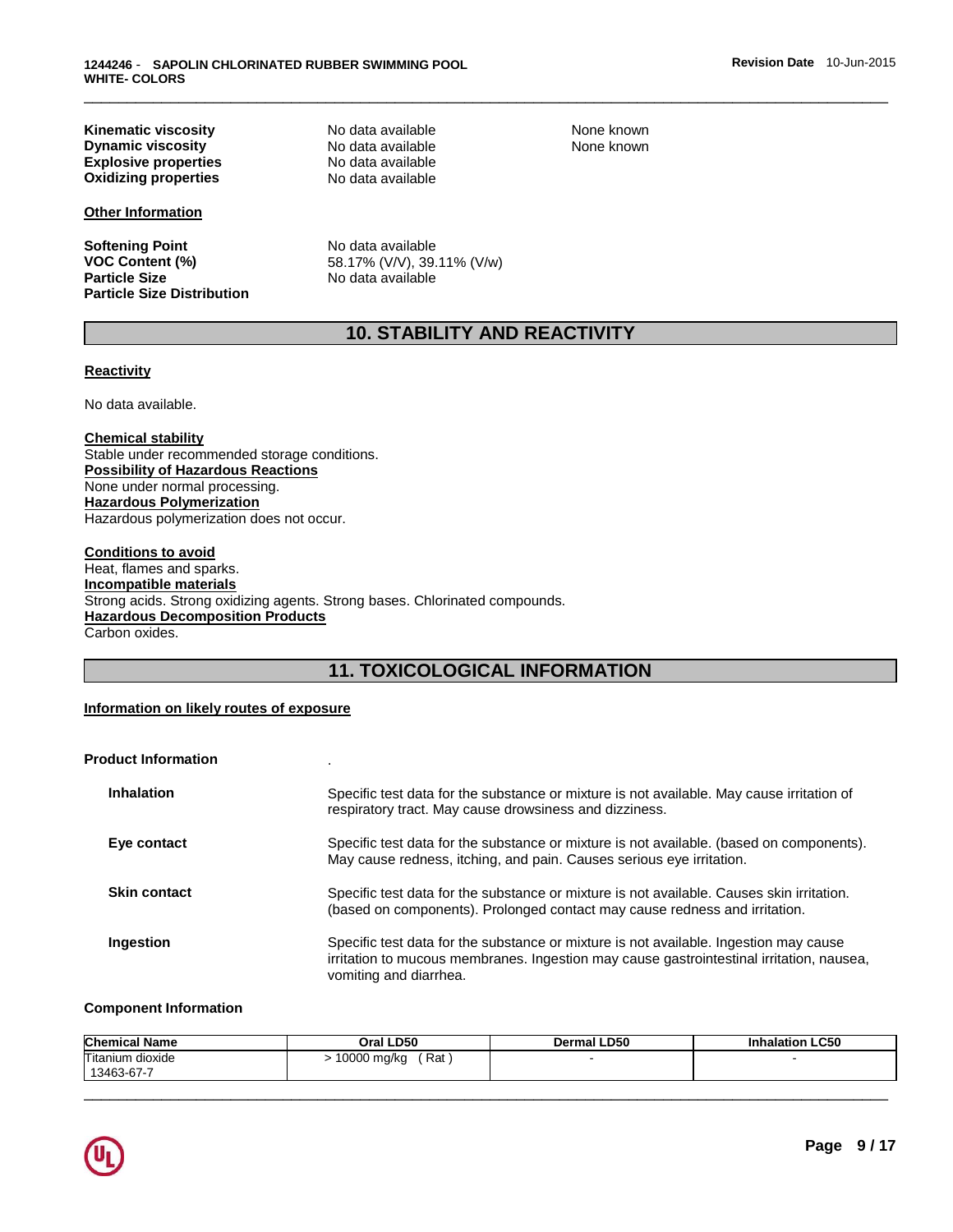**Kinematic viscosity**<br> **Notata available None known**<br>
Notata available None known<br>
None known **Dynamic viscosity**<br> **Explosive properties**<br>
No data available<br>
No data available **Explosive properties No data available**<br> **Oxidizing properties No data available Oxidizing properties** 

**Other Information**

**Softening Point No data available Particle Size Distribution** 

**VOC Content (%) 58.17% (V/V), 39.11% (V/w)**<br>**Particle Size 19.11% (Size in the Size in the Size in the No data available Particle Size** No data available

## **10. STABILITY AND REACTIVITY**

\_\_\_\_\_\_\_\_\_\_\_\_\_\_\_\_\_\_\_\_\_\_\_\_\_\_\_\_\_\_\_\_\_\_\_\_\_\_\_\_\_\_\_\_\_\_\_\_\_\_\_\_\_\_\_\_\_\_\_\_\_\_\_\_\_\_\_\_\_\_\_\_\_\_\_\_\_\_\_\_\_\_\_\_\_\_\_\_\_\_\_\_\_

## **Reactivity**

No data available.

#### **Chemical stability**

Stable under recommended storage conditions. **Possibility of Hazardous Reactions** None under normal processing. **Hazardous Polymerization** Hazardous polymerization does not occur.

#### **Conditions to avoid** Heat, flames and sparks. **Incompatible materials** Strong acids. Strong oxidizing agents. Strong bases. Chlorinated compounds. **Hazardous Decomposition Products** Carbon oxides.

## **11. TOXICOLOGICAL INFORMATION**

#### **Information on likely routes of exposure**

| <b>Product Information</b> |                                                                                                                                                                                                             |
|----------------------------|-------------------------------------------------------------------------------------------------------------------------------------------------------------------------------------------------------------|
| <b>Inhalation</b>          | Specific test data for the substance or mixture is not available. May cause irritation of<br>respiratory tract. May cause drowsiness and dizziness.                                                         |
| Eye contact                | Specific test data for the substance or mixture is not available. (based on components).<br>May cause redness, itching, and pain. Causes serious eye irritation.                                            |
| <b>Skin contact</b>        | Specific test data for the substance or mixture is not available. Causes skin irritation.<br>(based on components). Prolonged contact may cause redness and irritation.                                     |
| Ingestion                  | Specific test data for the substance or mixture is not available. Ingestion may cause<br>irritation to mucous membranes. Ingestion may cause gastrointestinal irritation, nausea,<br>vomiting and diarrhea. |

#### **Component Information**

| <b>Chemical Name</b>              | Oral LD50             | LD50<br>)erma | <b>LC50</b><br>halation |
|-----------------------------------|-----------------------|---------------|-------------------------|
| Titanium<br>dioxide<br>13463-67-7 | Rat<br>0000<br>⊧mg/ka |               |                         |

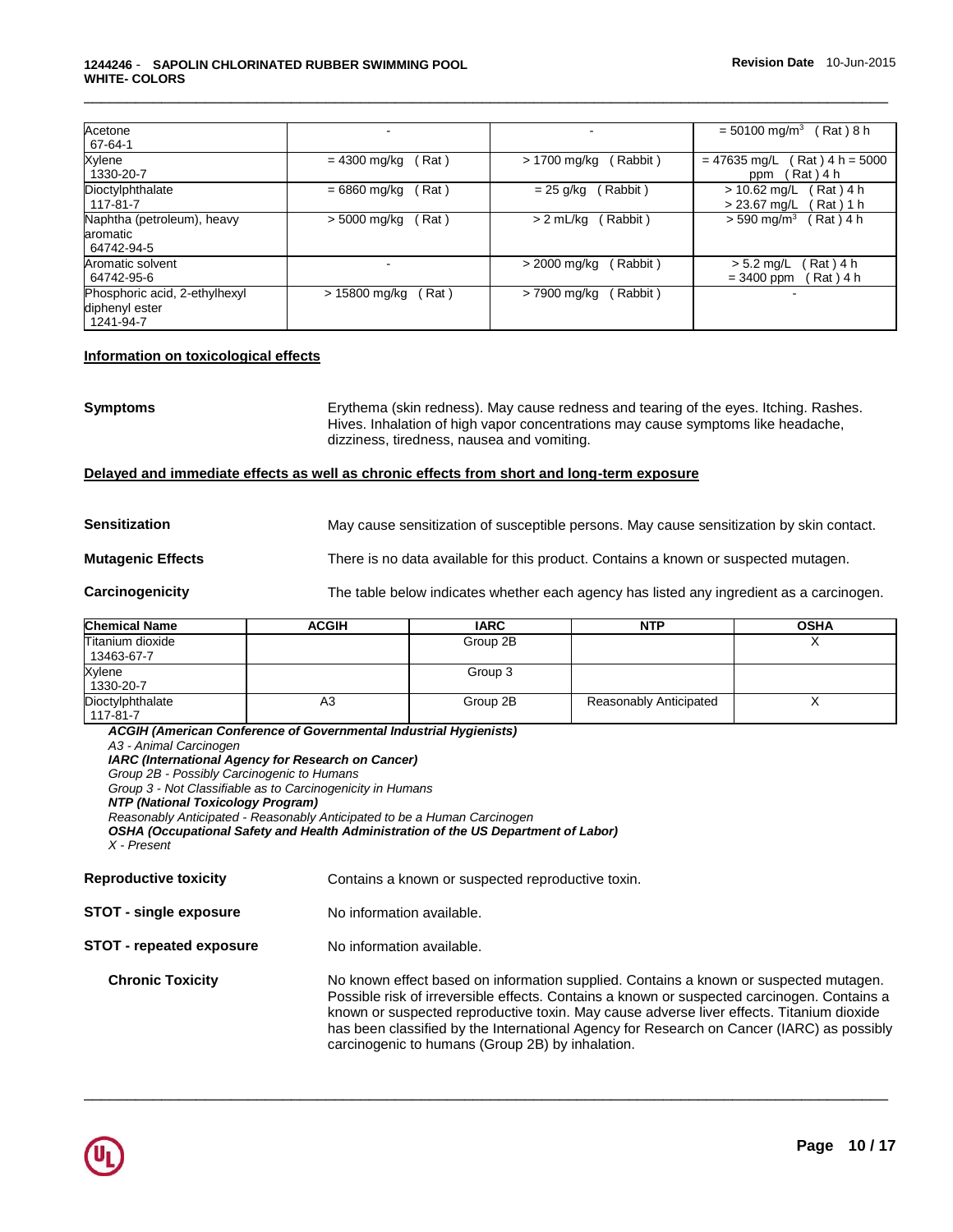| Acetone<br>67-64-1                                           |                        |                          | $= 50100$ mg/m <sup>3</sup><br>Rat ) 8 h                  |
|--------------------------------------------------------------|------------------------|--------------------------|-----------------------------------------------------------|
| Xylene<br>1330-20-7                                          | $= 4300$ mg/kg<br>Rat) | (Rabbit)<br>> 1700 mg/kg | $Rat$ + h = 5000<br>$= 47635$ mg/L<br>(Rat)4 h<br>ppm     |
| Dioctylphthalate<br>117-81-7                                 | $= 6860$ mg/kg<br>Rat) | Rabbit)<br>= 25 g/kg     | Rat) 4 h<br>$> 10.62$ mg/L<br>$> 23.67$ mg/L<br>Rat ) 1 h |
| Naphtha (petroleum), heavy<br>aromatic<br>64742-94-5         | Rat)<br>> 5000 mg/kg   | (Rabbit)<br>> 2 mL/ka    | $> 590 \; \text{mq/m}^3$<br>Rat ) 4 h                     |
| Aromatic solvent<br>64742-95-6                               |                        | (Rabbit)<br>> 2000 mg/kg | $Rat$ ) 4 h<br>$> 5.2$ mg/L<br>Rat ) 4 h<br>$= 3400$ ppm  |
| Phosphoric acid, 2-ethylhexyl<br>diphenyl ester<br>1241-94-7 | > 15800 mg/kg<br>Rat)  | (Rabbit)<br>> 7900 mg/kg |                                                           |

## **Information on toxicological effects**

**Symptoms** Erythema (skin redness). May cause redness and tearing of the eyes. Itching. Rashes. Hives. Inhalation of high vapor concentrations may cause symptoms like headache, dizziness, tiredness, nausea and vomiting.

## **Delayed and immediate effects as well as chronic effects from short and long-term exposure**

**Sensitization May cause sensitization of susceptible persons. May cause sensitization by skin contact.** 

**Mutagenic Effects** There is no data available for this product. Contains a known or suspected mutagen.

**Carcinogenicity** The table below indicates whether each agency has listed any ingredient as a carcinogen.

| Chemical Name                  | <b>ACGIH</b> | <b>IARC</b> | <b>NTP</b>             | <b>OSHA</b> |
|--------------------------------|--------------|-------------|------------------------|-------------|
| Titanium dioxide<br>13463-67-7 |              | Group 2B    |                        |             |
| Xylene<br>1330-20-7            |              | Group 3     |                        |             |
| Dioctylphthalate<br>117-81-7   | A3           | Group 2B    | Reasonably Anticipated | ↗           |

*ACGIH (American Conference of Governmental Industrial Hygienists) A3 - Animal Carcinogen IARC (International Agency for Research on Cancer) Group 2B - Possibly Carcinogenic to Humans Group 3 - Not Classifiable as to Carcinogenicity in Humans NTP (National Toxicology Program) Reasonably Anticipated - Reasonably Anticipated to be a Human Carcinogen OSHA (Occupational Safety and Health Administration of the US Department of Labor) X - Present* 

| <b>Reproductive toxicity</b>    | Contains a known or suspected reproductive toxin.                                                                                                                                                                                                                                                                                                                                                                                 |
|---------------------------------|-----------------------------------------------------------------------------------------------------------------------------------------------------------------------------------------------------------------------------------------------------------------------------------------------------------------------------------------------------------------------------------------------------------------------------------|
| <b>STOT - single exposure</b>   | No information available.                                                                                                                                                                                                                                                                                                                                                                                                         |
| <b>STOT - repeated exposure</b> | No information available.                                                                                                                                                                                                                                                                                                                                                                                                         |
| <b>Chronic Toxicity</b>         | No known effect based on information supplied. Contains a known or suspected mutagen.<br>Possible risk of irreversible effects. Contains a known or suspected carcinogen. Contains a<br>known or suspected reproductive toxin. May cause adverse liver effects. Titanium dioxide<br>has been classified by the International Agency for Research on Cancer (IARC) as possibly<br>carcinogenic to humans (Group 2B) by inhalation. |

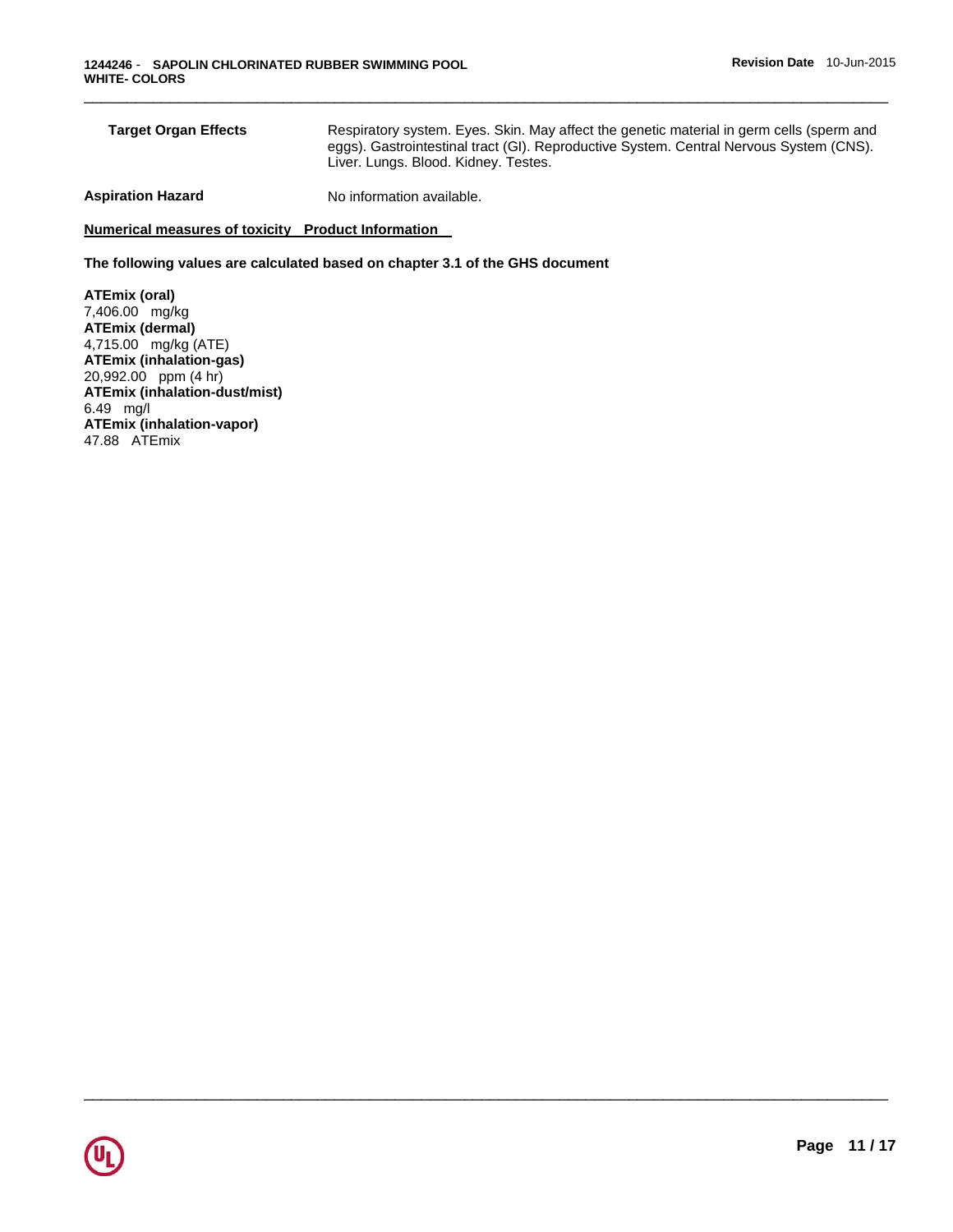| <b>Target Organ Effects</b> | Respiratory system. Eyes. Skin. May affect the genetic material in germ cells (sperm and<br>eggs). Gastrointestinal tract (GI). Reproductive System. Central Nervous System (CNS).<br>Liver. Lungs. Blood. Kidney. Testes. |
|-----------------------------|----------------------------------------------------------------------------------------------------------------------------------------------------------------------------------------------------------------------------|
| الموجود والموجا فجواهيم     | Nis to famous attace acceptable                                                                                                                                                                                            |

\_\_\_\_\_\_\_\_\_\_\_\_\_\_\_\_\_\_\_\_\_\_\_\_\_\_\_\_\_\_\_\_\_\_\_\_\_\_\_\_\_\_\_\_\_\_\_\_\_\_\_\_\_\_\_\_\_\_\_\_\_\_\_\_\_\_\_\_\_\_\_\_\_\_\_\_\_\_\_\_\_\_\_\_\_\_\_\_\_\_\_\_\_

**Aspiration Hazard Maximum Results** No information available.

**Numerical measures of toxicity Product Information** 

**The following values are calculated based on chapter 3.1 of the GHS document**

**ATEmix (oral)** 7,406.00 mg/kg **ATEmix (dermal)** 4,715.00 mg/kg (ATE) **ATEmix (inhalation-gas)** 20,992.00 ppm (4 hr) **ATEmix (inhalation-dust/mist)** 6.49 mg/l **ATEmix (inhalation-vapor)** 47.88 ATEmix

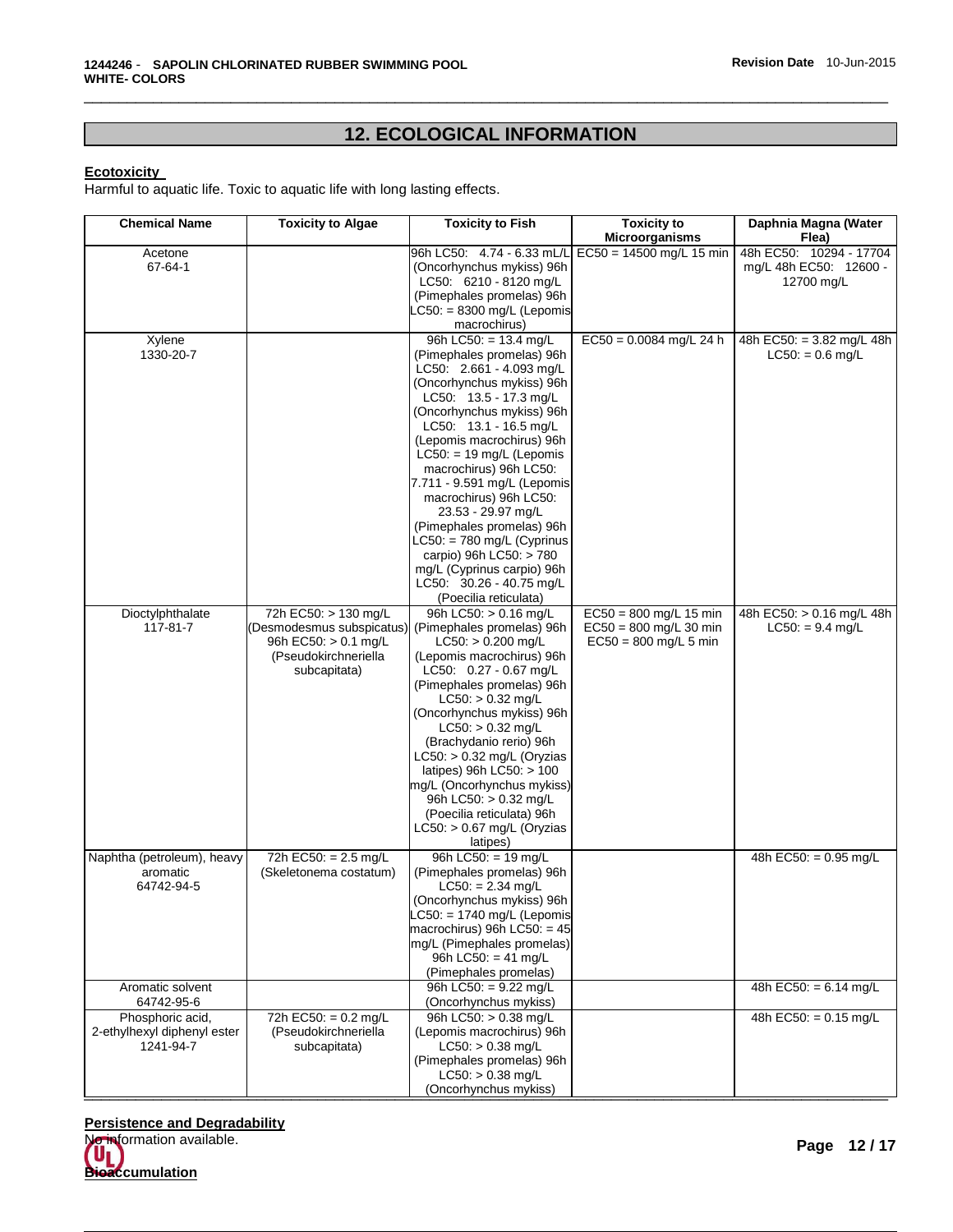# **12. ECOLOGICAL INFORMATION**

\_\_\_\_\_\_\_\_\_\_\_\_\_\_\_\_\_\_\_\_\_\_\_\_\_\_\_\_\_\_\_\_\_\_\_\_\_\_\_\_\_\_\_\_\_\_\_\_\_\_\_\_\_\_\_\_\_\_\_\_\_\_\_\_\_\_\_\_\_\_\_\_\_\_\_\_\_\_\_\_\_\_\_\_\_\_\_\_\_\_\_\_\_

## **Ecotoxicity**

Harmful to aquatic life. Toxic to aquatic life with long lasting effects.

| <b>Chemical Name</b>                     | <b>Toxicity to Algae</b>  | <b>Toxicity to Fish</b>                                   | <b>Toxicity to</b>         | Daphnia Magna (Water      |
|------------------------------------------|---------------------------|-----------------------------------------------------------|----------------------------|---------------------------|
|                                          |                           |                                                           | Microorganisms             | Flea)                     |
| Acetone                                  |                           | 96h LC50: 4.74 - 6.33 mL/L                                | $EC50 = 14500$ mg/L 15 min | 48h EC50: 10294 - 17704   |
| 67-64-1                                  |                           | (Oncorhynchus mykiss) 96h                                 |                            | mg/L 48h EC50: 12600 -    |
|                                          |                           | LC50: 6210 - 8120 mg/L                                    |                            | 12700 mg/L                |
|                                          |                           | (Pimephales promelas) 96h<br>$LC50: = 8300$ mg/L (Lepomis |                            |                           |
|                                          |                           | macrochirus)                                              |                            |                           |
| Xylene                                   |                           | 96h LC50: = 13.4 mg/L                                     | $EC50 = 0.0084$ mg/L 24 h  | 48h EC50: = 3.82 mg/L 48h |
| 1330-20-7                                |                           | (Pimephales promelas) 96h                                 |                            | $LC50: = 0.6$ mg/L        |
|                                          |                           | LC50: 2.661 - 4.093 mg/L                                  |                            |                           |
|                                          |                           | (Oncorhynchus mykiss) 96h                                 |                            |                           |
|                                          |                           | LC50: $13.5 - 17.3$ mg/L                                  |                            |                           |
|                                          |                           | (Oncorhynchus mykiss) 96h                                 |                            |                           |
|                                          |                           | LC50: 13.1 - 16.5 mg/L                                    |                            |                           |
|                                          |                           | (Lepomis macrochirus) 96h                                 |                            |                           |
|                                          |                           | $LC50: = 19$ mg/L (Lepomis                                |                            |                           |
|                                          |                           | macrochirus) 96h LC50:                                    |                            |                           |
|                                          |                           | 7.711 - 9.591 mg/L (Lepomis                               |                            |                           |
|                                          |                           | macrochirus) 96h LC50:                                    |                            |                           |
|                                          |                           | 23.53 - 29.97 mg/L<br>(Pimephales promelas) 96h           |                            |                           |
|                                          |                           | $LC50: = 780$ mg/L (Cyprinus                              |                            |                           |
|                                          |                           | carpio) 96h LC50: > 780                                   |                            |                           |
|                                          |                           | mg/L (Cyprinus carpio) 96h                                |                            |                           |
|                                          |                           | LC50: 30.26 - 40.75 mg/L                                  |                            |                           |
|                                          |                           | (Poecilia reticulata)                                     |                            |                           |
| Dioctylphthalate                         | 72h EC50: > 130 mg/L      | 96h LC50: > 0.16 ma/L                                     | $EC50 = 800$ mg/L 15 min   | 48h EC50: > 0.16 mg/L 48h |
| 117-81-7                                 | (Desmodesmus subspicatus) | (Pimephales promelas) 96h                                 | $EC50 = 800$ mg/L 30 min   | $LC50: = 9.4$ mg/L        |
|                                          | 96h EC50: > 0.1 mg/L      | $LC50:$ > 0.200 mg/L                                      | $EC50 = 800$ mg/L 5 min    |                           |
|                                          | (Pseudokirchneriella      | (Lepomis macrochirus) 96h                                 |                            |                           |
|                                          | subcapitata)              | LC50: 0.27 - 0.67 mg/L                                    |                            |                           |
|                                          |                           | (Pimephales promelas) 96h<br>$LC50:$ > 0.32 mg/L          |                            |                           |
|                                          |                           | (Oncorhynchus mykiss) 96h                                 |                            |                           |
|                                          |                           | $LC50:$ > 0.32 mg/L                                       |                            |                           |
|                                          |                           | (Brachydanio rerio) 96h                                   |                            |                           |
|                                          |                           | $LC50:$ > 0.32 mg/L (Oryzias                              |                            |                           |
|                                          |                           | latipes) 96h LC50: $> 100$                                |                            |                           |
|                                          |                           | mg/L (Oncorhynchus mykiss)                                |                            |                           |
|                                          |                           | 96h LC50: > 0.32 mg/L                                     |                            |                           |
|                                          |                           | (Poecilia reticulata) 96h                                 |                            |                           |
|                                          |                           | $LC50:$ > 0.67 mg/L (Oryzias                              |                            |                           |
|                                          |                           | latipes)                                                  |                            |                           |
| Naphtha (petroleum), heavy               | 72h EC50: = 2.5 mg/L      | 96h LC50: = 19 mg/L                                       |                            | 48h EC50: = $0.95$ mg/L   |
| aromatic<br>64742-94-5                   | (Skeletonema costatum)    | (Pimephales promelas) 96h<br>$LC50: = 2.34$ mg/L          |                            |                           |
|                                          |                           | (Oncorhynchus mykiss) 96h                                 |                            |                           |
|                                          |                           | LC50: = 1740 mg/L (Lepomis                                |                            |                           |
|                                          |                           | macrochirus) 96h LC50: $=$ 45                             |                            |                           |
|                                          |                           | mg/L (Pimephales promelas)                                |                            |                           |
|                                          |                           | 96h LC50: = 41 mg/L                                       |                            |                           |
|                                          |                           | (Pimephales promelas)                                     |                            |                           |
| Aromatic solvent                         |                           | 96h LC50: = $9.22 \text{ mg/L}$                           |                            | 48h EC50: = $6.14$ mg/L   |
| 64742-95-6                               |                           | (Oncorhynchus mykiss)                                     |                            |                           |
| Phosphoric acid,                         | 72h EC50: = $0.2$ mg/L    | 96h LC50: > 0.38 mg/L                                     |                            | 48h EC50: = 0.15 mg/L     |
| 2-ethylhexyl diphenyl ester<br>1241-94-7 | (Pseudokirchneriella      | (Lepomis macrochirus) 96h                                 |                            |                           |
|                                          | subcapitata)              | $LC50:$ > 0.38 mg/L                                       |                            |                           |
|                                          |                           | (Pimephales promelas) 96h<br>$LC50:$ > 0.38 mg/L          |                            |                           |
|                                          |                           | (Oncorhynchus mykiss)                                     |                            |                           |
|                                          |                           |                                                           |                            |                           |

## **Persistence and Degradability**

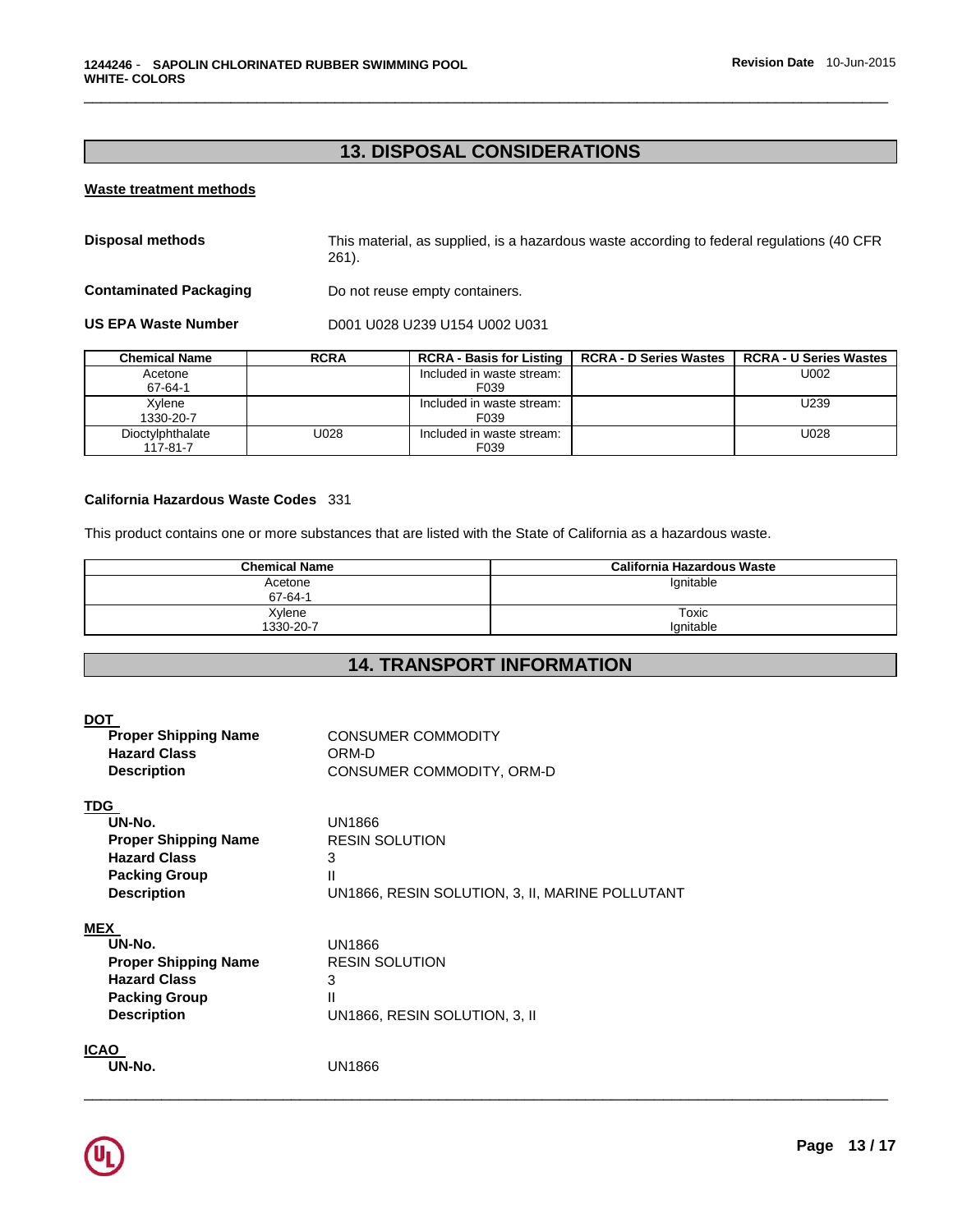# **13. DISPOSAL CONSIDERATIONS**

\_\_\_\_\_\_\_\_\_\_\_\_\_\_\_\_\_\_\_\_\_\_\_\_\_\_\_\_\_\_\_\_\_\_\_\_\_\_\_\_\_\_\_\_\_\_\_\_\_\_\_\_\_\_\_\_\_\_\_\_\_\_\_\_\_\_\_\_\_\_\_\_\_\_\_\_\_\_\_\_\_\_\_\_\_\_\_\_\_\_\_\_\_

## **Waste treatment methods**

| Disposal methods              | This material, as supplied, is a hazardous waste according to federal regulations (40 CFR<br>261). |
|-------------------------------|----------------------------------------------------------------------------------------------------|
| <b>Contaminated Packaging</b> | Do not reuse empty containers.                                                                     |
| <b>US EPA Waste Number</b>    | D001 U028 U239 U154 U002 U031                                                                      |

| <b>Chemical Name</b> | <b>RCRA</b> | <b>RCRA - Basis for Listing</b> | <b>RCRA - D Series Wastes</b> | <b>RCRA - U Series Wastes</b> |
|----------------------|-------------|---------------------------------|-------------------------------|-------------------------------|
| Acetone              |             | Included in waste stream:       |                               | U002                          |
| 67-64-1              |             | F039                            |                               |                               |
| Xvlene               |             | Included in waste stream:       |                               | U239                          |
| 1330-20-7            |             | F039                            |                               |                               |
| Dioctylphthalate     | U028        | Included in waste stream:       |                               | U028                          |
| 117-81-7             |             | F039                            |                               |                               |

## **California Hazardous Waste Codes** 331

This product contains one or more substances that are listed with the State of California as a hazardous waste.

| <b>Chemical Name</b> | California Hazardous Waste |
|----------------------|----------------------------|
| Acetone<br>67-64-1   | lgnitable                  |
| Xylene<br>1330-20-7  | Toxic<br>lanitable         |

# **14. TRANSPORT INFORMATION**

| <b>DOT</b><br><b>Proper Shipping Name</b><br><b>Hazard Class</b><br><b>Description</b>                                   | <b>CONSUMER COMMODITY</b><br>ORM-D<br>CONSUMER COMMODITY, ORM-D                              |
|--------------------------------------------------------------------------------------------------------------------------|----------------------------------------------------------------------------------------------|
| <u>TDG</u><br>UN-No.<br><b>Proper Shipping Name</b><br><b>Hazard Class</b><br><b>Packing Group</b><br><b>Description</b> | UN1866<br><b>RESIN SOLUTION</b><br>3<br>Ш<br>UN1866, RESIN SOLUTION, 3, II, MARINE POLLUTANT |
| <b>MEX</b><br>UN-No.<br><b>Proper Shipping Name</b><br><b>Hazard Class</b><br><b>Packing Group</b><br><b>Description</b> | UN1866<br><b>RESIN SOLUTION</b><br>3<br>Ш<br>UN1866, RESIN SOLUTION, 3, II                   |
| <b>ICAO</b><br>UN-No.                                                                                                    | <b>UN1866</b>                                                                                |

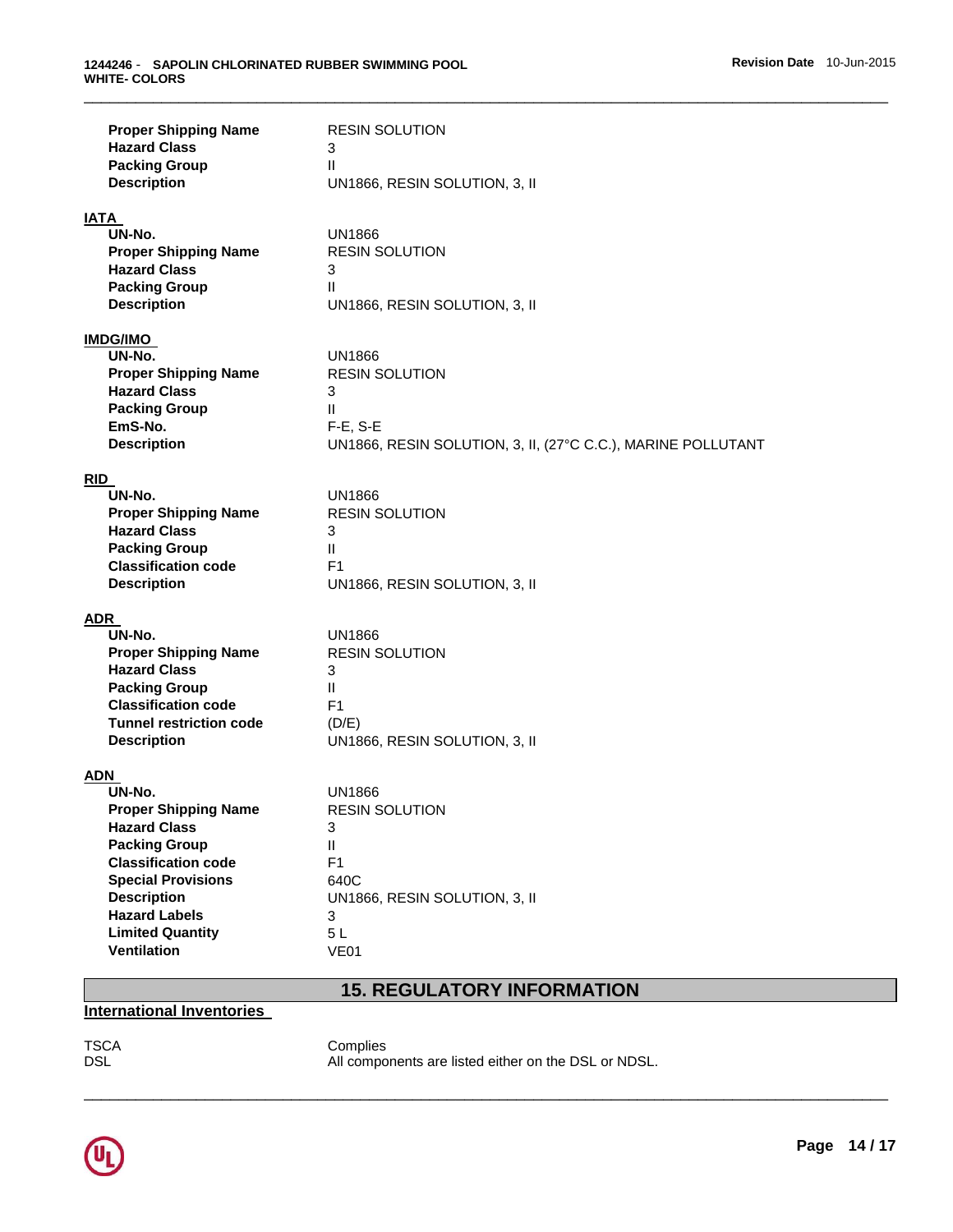| <b>Proper Shipping Name</b><br><b>Hazard Class</b><br><b>Packing Group</b><br><b>Description</b>                                                                                                                                                      | <b>RESIN SOLUTION</b><br>3<br>$\mathbf{H}$<br>UN1866, RESIN SOLUTION, 3, II                                                               |
|-------------------------------------------------------------------------------------------------------------------------------------------------------------------------------------------------------------------------------------------------------|-------------------------------------------------------------------------------------------------------------------------------------------|
| <b>IATA</b><br>UN-No.<br><b>Proper Shipping Name</b><br><b>Hazard Class</b><br><b>Packing Group</b><br><b>Description</b>                                                                                                                             | UN1866<br><b>RESIN SOLUTION</b><br>3<br>$\mathbf{II}$<br>UN1866, RESIN SOLUTION, 3, II                                                    |
| <b>IMDG/IMO</b><br>UN-No.<br><b>Proper Shipping Name</b><br><b>Hazard Class</b><br><b>Packing Group</b><br>EmS-No.<br><b>Description</b>                                                                                                              | UN1866<br><b>RESIN SOLUTION</b><br>3<br>$\mathbf{II}$<br>$F-E$ , S-E<br>UN1866, RESIN SOLUTION, 3, II, (27°C C.C.), MARINE POLLUTANT      |
| <b>RID</b><br>UN-No.<br><b>Proper Shipping Name</b><br><b>Hazard Class</b><br><b>Packing Group</b><br><b>Classification code</b><br><b>Description</b>                                                                                                | UN1866<br><b>RESIN SOLUTION</b><br>3<br>$\mathbf{H}$<br>F1<br>UN1866, RESIN SOLUTION, 3, II                                               |
| ADR<br>UN-No.<br><b>Proper Shipping Name</b><br><b>Hazard Class</b><br><b>Packing Group</b><br><b>Classification code</b><br><b>Tunnel restriction code</b><br><b>Description</b>                                                                     | UN1866<br><b>RESIN SOLUTION</b><br>3<br>Ш<br>F <sub>1</sub><br>(D/E)<br>UN1866, RESIN SOLUTION, 3, II                                     |
| ADN<br>UN-No.<br><b>Proper Shipping Name</b><br><b>Hazard Class</b><br><b>Packing Group</b><br><b>Classification code</b><br><b>Special Provisions</b><br><b>Description</b><br><b>Hazard Labels</b><br><b>Limited Quantity</b><br><b>Ventilation</b> | <b>UN1866</b><br><b>RESIN SOLUTION</b><br>3<br>$\mathbf{H}$<br>F <sub>1</sub><br>640C<br>UN1866, RESIN SOLUTION, 3, II<br>3<br>5L<br>VE01 |

## **15. REGULATORY INFORMATION**

## **International Inventories**

TSCA Complies<br>DSL All compo All components are listed either on the DSL or NDSL.

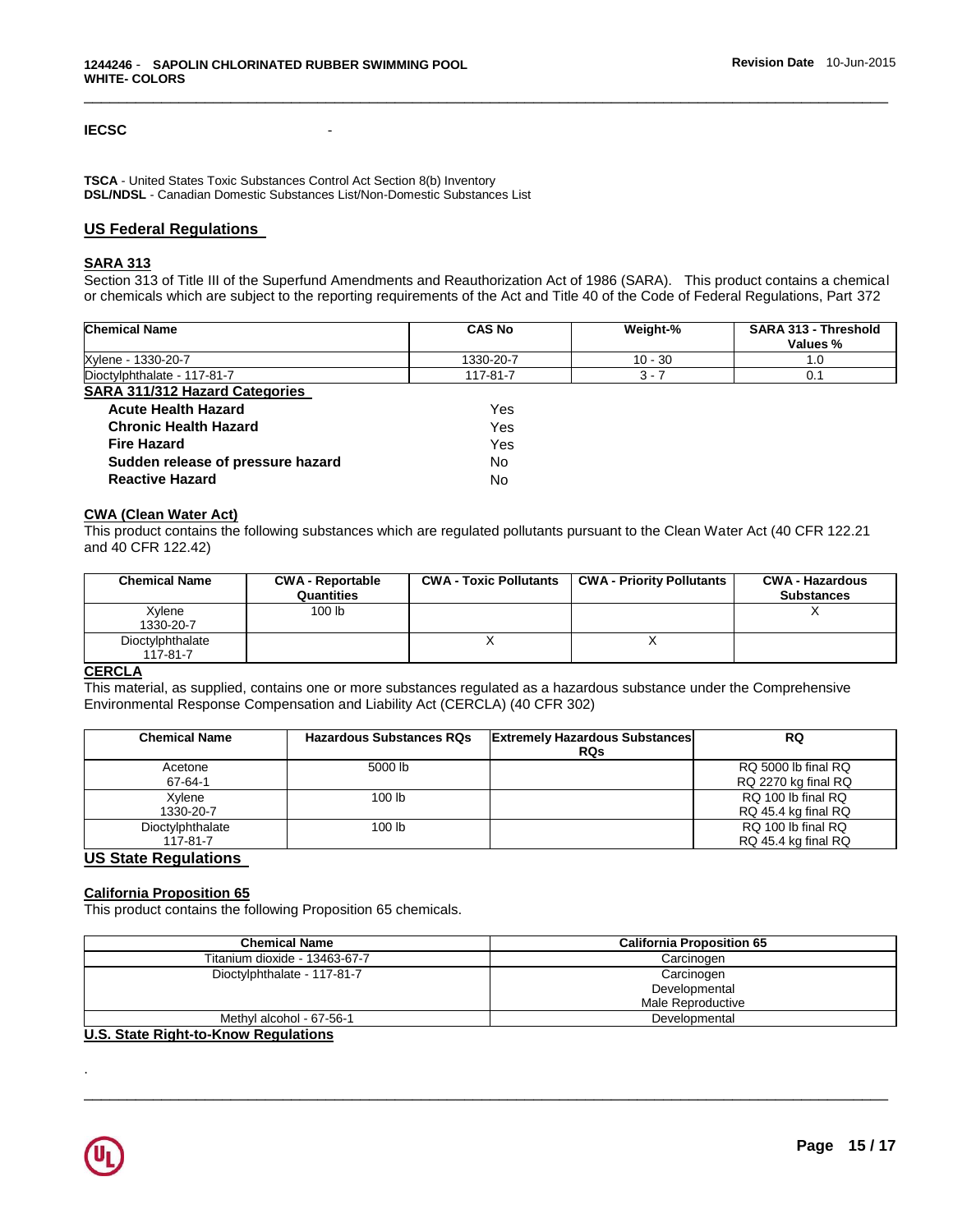## **IECSC** -

**TSCA** - United States Toxic Substances Control Act Section 8(b) Inventory **DSL/NDSL** - Canadian Domestic Substances List/Non-Domestic Substances List

## **US Federal Regulations**

## **SARA 313**

Section 313 of Title III of the Superfund Amendments and Reauthorization Act of 1986 (SARA). This product contains a chemical or chemicals which are subject to the reporting requirements of the Act and Title 40 of the Code of Federal Regulations, Part 372

\_\_\_\_\_\_\_\_\_\_\_\_\_\_\_\_\_\_\_\_\_\_\_\_\_\_\_\_\_\_\_\_\_\_\_\_\_\_\_\_\_\_\_\_\_\_\_\_\_\_\_\_\_\_\_\_\_\_\_\_\_\_\_\_\_\_\_\_\_\_\_\_\_\_\_\_\_\_\_\_\_\_\_\_\_\_\_\_\_\_\_\_\_

| <b>Chemical Name</b>                  | <b>CAS No</b> | Weight-%  | SARA 313 - Threshold<br>Values % |
|---------------------------------------|---------------|-----------|----------------------------------|
| Xylene - 1330-20-7                    | 1330-20-7     | $10 - 30$ | 1.0                              |
| Dioctylphthalate - 117-81-7           | 117-81-7      | $3 - 7$   | 0.1                              |
| <b>SARA 311/312 Hazard Categories</b> |               |           |                                  |
| <b>Acute Health Hazard</b>            | Yes           |           |                                  |
| <b>Chronic Health Hazard</b>          | Yes           |           |                                  |
| <b>Fire Hazard</b>                    | Yes           |           |                                  |
| Sudden release of pressure hazard     | No.           |           |                                  |
| <b>Reactive Hazard</b>                | No            |           |                                  |

## **CWA (Clean Water Act)**

This product contains the following substances which are regulated pollutants pursuant to the Clean Water Act (40 CFR 122.21 and 40 CFR 122.42)

| <b>Chemical Name</b>         | <b>CWA - Reportable</b><br>Quantities | <b>CWA - Toxic Pollutants</b> | <b>CWA - Priority Pollutants</b> | <b>CWA - Hazardous</b><br><b>Substances</b> |
|------------------------------|---------------------------------------|-------------------------------|----------------------------------|---------------------------------------------|
| Xylene<br>1330-20-7          | 100 lb                                |                               |                                  |                                             |
| Dioctylphthalate<br>117-81-7 |                                       |                               |                                  |                                             |

#### **CERCLA**

This material, as supplied, contains one or more substances regulated as a hazardous substance under the Comprehensive Environmental Response Compensation and Liability Act (CERCLA) (40 CFR 302)

| <b>Chemical Name</b>         | <b>Hazardous Substances RQs</b> | <b>Extremely Hazardous Substances</b><br><b>RQs</b> | RQ                                         |
|------------------------------|---------------------------------|-----------------------------------------------------|--------------------------------------------|
| Acetone<br>67-64-1           | 5000 lb                         |                                                     | RQ 5000 lb final RQ<br>RQ 2270 kg final RQ |
| Xylene<br>1330-20-7          | 100 <sub>lb</sub>               |                                                     | RQ 100 lb final RQ<br>RQ 45.4 kg final RQ  |
| Dioctylphthalate<br>117-81-7 | 100 <sub>lb</sub>               |                                                     | RQ 100 lb final RQ<br>RQ 45.4 kg final RQ  |

## **US State Regulations**

#### **California Proposition 65**

This product contains the following Proposition 65 chemicals.

| <b>Chemical Name</b>          | <b>California Proposition 65</b>                 |
|-------------------------------|--------------------------------------------------|
| Titanium dioxide - 13463-67-7 | Carcinogen                                       |
| Dioctylphthalate - 117-81-7   | Carcinogen<br>Developmental<br>Male Reproductive |
| Methyl alcohol - 67-56-1      | Developmental                                    |

\_\_\_\_\_\_\_\_\_\_\_\_\_\_\_\_\_\_\_\_\_\_\_\_\_\_\_\_\_\_\_\_\_\_\_\_\_\_\_\_\_\_\_\_\_\_\_\_\_\_\_\_\_\_\_\_\_\_\_\_\_\_\_\_\_\_\_\_\_\_\_\_\_\_\_\_\_\_\_\_\_\_\_\_\_\_\_\_\_\_\_\_\_

## **U.S. State Right-to-Know Regulations**



.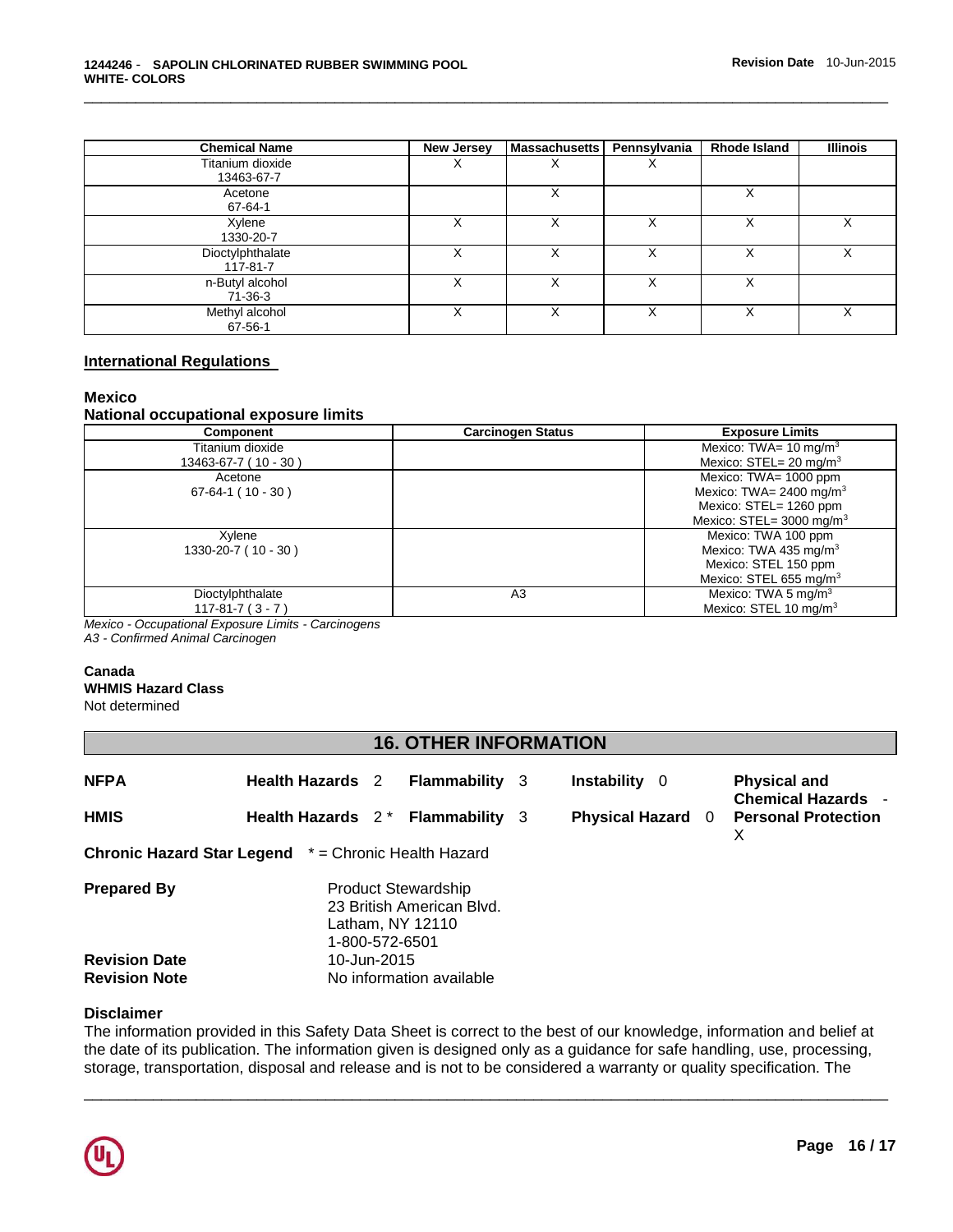| <b>Chemical Name</b>           | New Jersey | Massachusetts | Pennsylvania | Rhode Island | <b>Illinois</b> |
|--------------------------------|------------|---------------|--------------|--------------|-----------------|
| Titanium dioxide<br>13463-67-7 | ⋏          | ⌒             | ∧            |              |                 |
| Acetone<br>67-64-1             |            | ⋏             |              | Χ            |                 |
| Xylene<br>1330-20-7            | X          | ́             | Χ            |              | Χ               |
| Dioctylphthalate<br>117-81-7   | х          | ⋏             |              |              | Χ               |
| n-Butyl alcohol<br>71-36-3     | ⋏          |               |              |              |                 |
| Methyl alcohol<br>67-56-1      | X          |               |              |              | х               |

## **International Regulations**

## **Mexico**

## **National occupational exposure limits**

| <b>Component</b>      | <b>Carcinogen Status</b> | <b>Exposure Limits</b>                |
|-----------------------|--------------------------|---------------------------------------|
| Titanium dioxide      |                          | Mexico: TWA= $10 \text{ mg/m}^3$      |
| 13463-67-7 (10 - 30)  |                          | Mexico: $STEL = 20$ mg/m <sup>3</sup> |
| Acetone               |                          | Mexico: TWA= 1000 ppm                 |
| $67-64-1(10-30)$      |                          | Mexico: TWA= 2400 mg/m <sup>3</sup>   |
|                       |                          | Mexico: STEL= 1260 ppm                |
|                       |                          | Mexico: STEL= $3000 \text{ mg/m}^3$   |
| Xylene                |                          | Mexico: TWA 100 ppm                   |
| 1330-20-7 (10 - 30)   |                          | Mexico: TWA 435 mg/m <sup>3</sup>     |
|                       |                          | Mexico: STEL 150 ppm                  |
|                       |                          | Mexico: STEL 655 mg/m <sup>3</sup>    |
| Dioctylphthalate      | A3                       | Mexico: TWA 5 mg/m $3$                |
| $117 - 81 - 7(3 - 7)$ |                          | Mexico: STEL 10 mg/m <sup>3</sup>     |

*Mexico - Occupational Exposure Limits - Carcinogens*

*A3 - Confirmed Animal Carcinogen* 

## **Canada**

**WHMIS Hazard Class** Not determined

## **16. OTHER INFORMATION**

| <b>NFPA</b><br><b>HMIS</b>                   | <b>Health Hazards</b> 2<br><b>Flammability</b> 3<br>Health Hazards 2 <sup>*</sup> Flammability 3 | Instability 0<br><b>Physical Hazard</b> 0 | <b>Physical and</b><br><b>Chemical Hazards -</b><br><b>Personal Protection</b><br>x |
|----------------------------------------------|--------------------------------------------------------------------------------------------------|-------------------------------------------|-------------------------------------------------------------------------------------|
|                                              | <b>Chronic Hazard Star Legend</b> * = Chronic Health Hazard                                      |                                           |                                                                                     |
| <b>Prepared By</b>                           | <b>Product Stewardship</b><br>23 British American Blvd.<br>Latham, NY 12110<br>1-800-572-6501    |                                           |                                                                                     |
| <b>Revision Date</b><br><b>Revision Note</b> | 10-Jun-2015<br>No information available                                                          |                                           |                                                                                     |

## **Disclaimer**

The information provided in this Safety Data Sheet is correct to the best of our knowledge, information and belief at the date of its publication. The information given is designed only as a guidance for safe handling, use, processing, storage, transportation, disposal and release and is not to be considered a warranty or quality specification. The